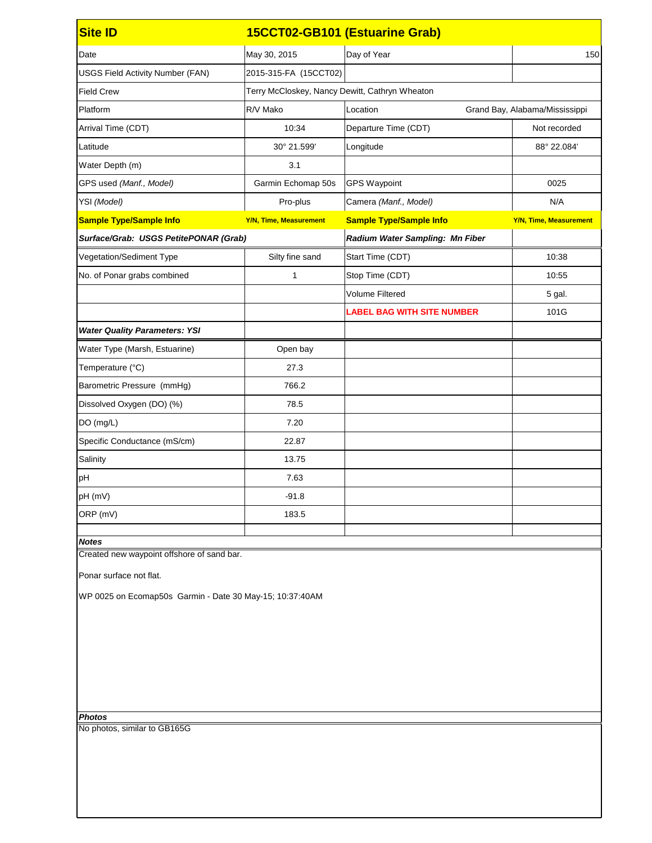| <b>Site ID</b>                                           |                               | 15CCT02-GB101 (Estuarine Grab)                 |                                |  |
|----------------------------------------------------------|-------------------------------|------------------------------------------------|--------------------------------|--|
| Date                                                     | May 30, 2015                  | Day of Year                                    | 150                            |  |
| <b>USGS Field Activity Number (FAN)</b>                  | 2015-315-FA (15CCT02)         |                                                |                                |  |
| <b>Field Crew</b>                                        |                               | Terry McCloskey, Nancy Dewitt, Cathryn Wheaton |                                |  |
| Platform                                                 | R/V Mako                      | Location                                       | Grand Bay, Alabama/Mississippi |  |
| Arrival Time (CDT)                                       | 10:34                         | Departure Time (CDT)                           | Not recorded                   |  |
| Latitude                                                 | 30° 21.599'                   | Longitude                                      | 88° 22.084'                    |  |
| Water Depth (m)                                          | 3.1                           |                                                |                                |  |
| GPS used (Manf., Model)                                  | Garmin Echomap 50s            | <b>GPS Waypoint</b>                            | 0025                           |  |
| YSI (Model)                                              | Pro-plus                      | Camera (Manf., Model)                          | N/A                            |  |
| <b>Sample Type/Sample Info</b>                           | <b>Y/N, Time, Measurement</b> | <b>Sample Type/Sample Info</b>                 | <b>Y/N, Time, Measurement</b>  |  |
| Surface/Grab: USGS PetitePONAR (Grab)                    |                               | Radium Water Sampling: Mn Fiber                |                                |  |
| Vegetation/Sediment Type                                 | Silty fine sand               | Start Time (CDT)                               | 10:38                          |  |
| No. of Ponar grabs combined                              | 1                             | Stop Time (CDT)                                | 10:55                          |  |
|                                                          |                               | <b>Volume Filtered</b>                         | 5 gal.                         |  |
|                                                          |                               | <b>LABEL BAG WITH SITE NUMBER</b>              | 101G                           |  |
| <b>Water Quality Parameters: YSI</b>                     |                               |                                                |                                |  |
| Water Type (Marsh, Estuarine)                            | Open bay                      |                                                |                                |  |
| Temperature (°C)                                         | 27.3                          |                                                |                                |  |
| Barometric Pressure (mmHg)                               | 766.2                         |                                                |                                |  |
| Dissolved Oxygen (DO) (%)                                | 78.5                          |                                                |                                |  |
| DO (mg/L)                                                | 7.20                          |                                                |                                |  |
| Specific Conductance (mS/cm)                             | 22.87                         |                                                |                                |  |
| Salinity                                                 | 13.75                         |                                                |                                |  |
| pH                                                       | 7.63                          |                                                |                                |  |
| pH (mV)                                                  | $-91.8$                       |                                                |                                |  |
| ORP (mV)                                                 | 183.5                         |                                                |                                |  |
| <b>Notes</b>                                             |                               |                                                |                                |  |
| Created new waypoint offshore of sand bar.               |                               |                                                |                                |  |
| Ponar surface not flat.                                  |                               |                                                |                                |  |
| WP 0025 on Ecomap50s Garmin - Date 30 May-15; 10:37:40AM |                               |                                                |                                |  |
|                                                          |                               |                                                |                                |  |
|                                                          |                               |                                                |                                |  |
|                                                          |                               |                                                |                                |  |
|                                                          |                               |                                                |                                |  |
|                                                          |                               |                                                |                                |  |
|                                                          |                               |                                                |                                |  |
| <b>Photos</b><br>No photos, similar to GB165G            |                               |                                                |                                |  |
|                                                          |                               |                                                |                                |  |
|                                                          |                               |                                                |                                |  |
|                                                          |                               |                                                |                                |  |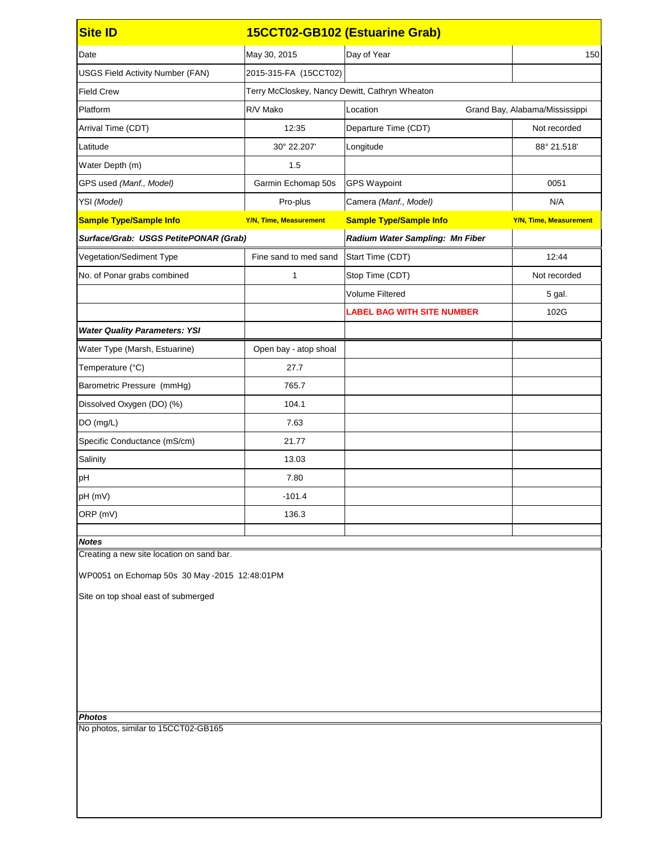| <b>Site ID</b>                                |                               | 15CCT02-GB102 (Estuarine Grab)                 |                                |  |  |
|-----------------------------------------------|-------------------------------|------------------------------------------------|--------------------------------|--|--|
| Date                                          | May 30, 2015                  | Day of Year                                    | 150                            |  |  |
| <b>USGS Field Activity Number (FAN)</b>       | 2015-315-FA (15CCT02)         |                                                |                                |  |  |
| <b>Field Crew</b>                             |                               | Terry McCloskey, Nancy Dewitt, Cathryn Wheaton |                                |  |  |
| Platform                                      | R/V Mako                      | Location                                       | Grand Bay, Alabama/Mississippi |  |  |
| Arrival Time (CDT)                            | 12:35                         | Departure Time (CDT)                           | Not recorded                   |  |  |
| Latitude                                      | 30° 22.207'                   | Longitude                                      | 88° 21.518'                    |  |  |
| Water Depth (m)                               | 1.5                           |                                                |                                |  |  |
| GPS used (Manf., Model)                       | Garmin Echomap 50s            | <b>GPS Waypoint</b>                            | 0051                           |  |  |
| YSI (Model)                                   | Pro-plus                      | Camera (Manf., Model)                          | N/A                            |  |  |
| <b>Sample Type/Sample Info</b>                | <b>Y/N, Time, Measurement</b> | <b>Sample Type/Sample Info</b>                 | <b>Y/N, Time, Measurement</b>  |  |  |
| Surface/Grab: USGS PetitePONAR (Grab)         |                               | Radium Water Sampling: Mn Fiber                |                                |  |  |
| Vegetation/Sediment Type                      | Fine sand to med sand         | Start Time (CDT)                               | 12:44                          |  |  |
| No. of Ponar grabs combined                   | 1                             | Stop Time (CDT)                                | Not recorded                   |  |  |
|                                               |                               | <b>Volume Filtered</b>                         | 5 gal.                         |  |  |
|                                               |                               | <b>LABEL BAG WITH SITE NUMBER</b>              | 102G                           |  |  |
| <b>Water Quality Parameters: YSI</b>          |                               |                                                |                                |  |  |
| Water Type (Marsh, Estuarine)                 | Open bay - atop shoal         |                                                |                                |  |  |
| Temperature (°C)                              | 27.7                          |                                                |                                |  |  |
| Barometric Pressure (mmHg)                    | 765.7                         |                                                |                                |  |  |
| Dissolved Oxygen (DO) (%)                     | 104.1                         |                                                |                                |  |  |
| DO (mg/L)                                     | 7.63                          |                                                |                                |  |  |
| Specific Conductance (mS/cm)                  | 21.77                         |                                                |                                |  |  |
| Salinity                                      | 13.03                         |                                                |                                |  |  |
| pH                                            | 7.80                          |                                                |                                |  |  |
| pH (mV)                                       | $-101.4$                      |                                                |                                |  |  |
| ORP (mV)                                      | 136.3                         |                                                |                                |  |  |
| <b>Notes</b>                                  |                               |                                                |                                |  |  |
| Creating a new site location on sand bar.     |                               |                                                |                                |  |  |
| WP0051 on Echomap 50s 30 May -2015 12:48:01PM |                               |                                                |                                |  |  |
| Site on top shoal east of submerged           |                               |                                                |                                |  |  |
|                                               |                               |                                                |                                |  |  |
|                                               |                               |                                                |                                |  |  |
|                                               |                               |                                                |                                |  |  |
|                                               |                               |                                                |                                |  |  |
|                                               |                               |                                                |                                |  |  |
|                                               |                               |                                                |                                |  |  |
| <b>Photos</b>                                 |                               |                                                |                                |  |  |
| No photos, similar to 15CCT02-GB165           |                               |                                                |                                |  |  |
|                                               |                               |                                                |                                |  |  |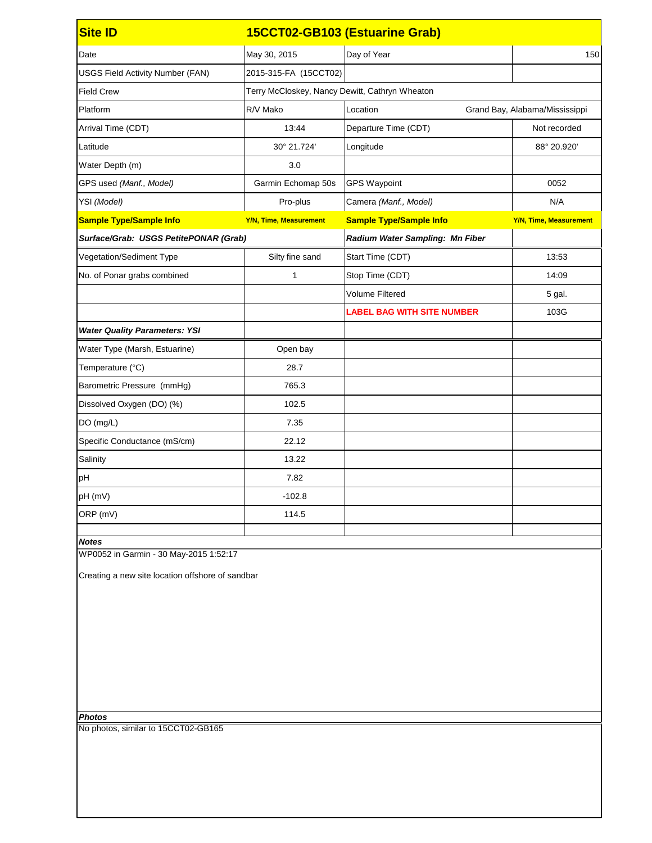| <b>Site ID</b>                                   |                                                | 15CCT02-GB103 (Estuarine Grab)    |                                |
|--------------------------------------------------|------------------------------------------------|-----------------------------------|--------------------------------|
| Date                                             | May 30, 2015                                   | Day of Year                       | 150                            |
| <b>USGS Field Activity Number (FAN)</b>          | 2015-315-FA (15CCT02)                          |                                   |                                |
| <b>Field Crew</b>                                | Terry McCloskey, Nancy Dewitt, Cathryn Wheaton |                                   |                                |
| Platform                                         | R/V Mako                                       | Location                          | Grand Bay, Alabama/Mississippi |
| Arrival Time (CDT)                               | 13:44                                          | Departure Time (CDT)              | Not recorded                   |
| Latitude                                         | 30° 21.724'                                    | Longitude                         | 88° 20.920'                    |
| Water Depth (m)                                  | 3.0                                            |                                   |                                |
| GPS used (Manf., Model)                          | Garmin Echomap 50s                             | <b>GPS Waypoint</b>               | 0052                           |
| YSI (Model)                                      | Pro-plus                                       | Camera (Manf., Model)             | N/A                            |
| <b>Sample Type/Sample Info</b>                   | <b>Y/N, Time, Measurement</b>                  | <b>Sample Type/Sample Info</b>    | <b>Y/N, Time, Measurement</b>  |
| Surface/Grab: USGS PetitePONAR (Grab)            |                                                | Radium Water Sampling: Mn Fiber   |                                |
| Vegetation/Sediment Type                         | Silty fine sand                                | Start Time (CDT)                  | 13:53                          |
| No. of Ponar grabs combined                      | 1                                              | Stop Time (CDT)                   | 14:09                          |
|                                                  |                                                | <b>Volume Filtered</b>            | 5 gal.                         |
|                                                  |                                                | <b>LABEL BAG WITH SITE NUMBER</b> | 103G                           |
| <b>Water Quality Parameters: YSI</b>             |                                                |                                   |                                |
| Water Type (Marsh, Estuarine)                    | Open bay                                       |                                   |                                |
| Temperature (°C)                                 | 28.7                                           |                                   |                                |
| Barometric Pressure (mmHg)                       | 765.3                                          |                                   |                                |
| Dissolved Oxygen (DO) (%)                        | 102.5                                          |                                   |                                |
| DO (mg/L)                                        | 7.35                                           |                                   |                                |
| Specific Conductance (mS/cm)                     | 22.12                                          |                                   |                                |
| Salinity                                         | 13.22                                          |                                   |                                |
| pH                                               | 7.82                                           |                                   |                                |
| pH (mV)                                          | $-102.8$                                       |                                   |                                |
| ORP (mV)                                         | 114.5                                          |                                   |                                |
| <b>Notes</b>                                     |                                                |                                   |                                |
| WP0052 in Garmin - 30 May-2015 1:52:17           |                                                |                                   |                                |
| Creating a new site location offshore of sandbar |                                                |                                   |                                |
|                                                  |                                                |                                   |                                |
|                                                  |                                                |                                   |                                |
|                                                  |                                                |                                   |                                |
|                                                  |                                                |                                   |                                |
|                                                  |                                                |                                   |                                |
|                                                  |                                                |                                   |                                |
|                                                  |                                                |                                   |                                |
| <b>Photos</b>                                    |                                                |                                   |                                |
| No photos, similar to 15CCT02-GB165              |                                                |                                   |                                |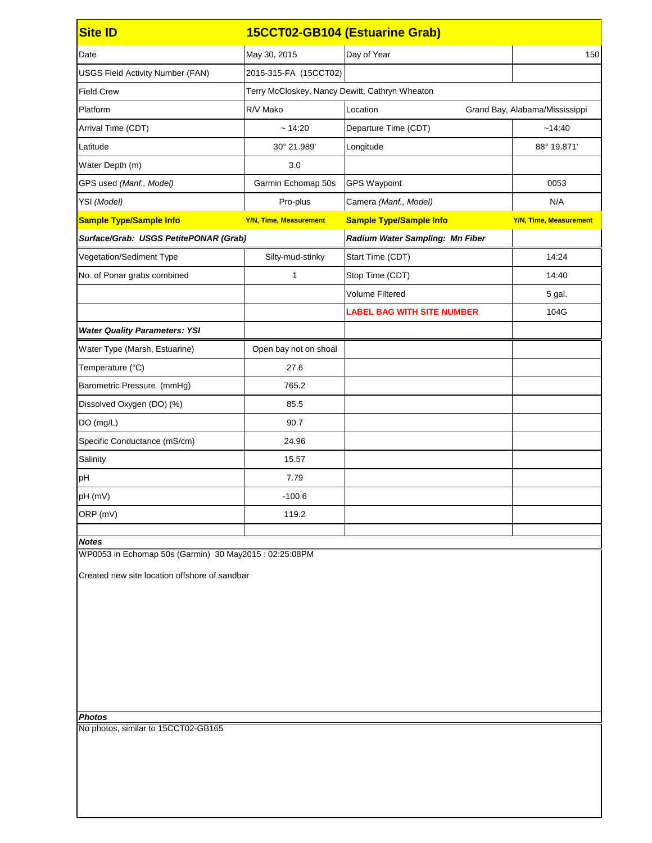| <b>Site ID</b>                                        |                               | 15CCT02-GB104 (Estuarine Grab)                 |                                |  |
|-------------------------------------------------------|-------------------------------|------------------------------------------------|--------------------------------|--|
| Date                                                  | May 30, 2015                  | Day of Year                                    | 150                            |  |
| <b>USGS Field Activity Number (FAN)</b>               | 2015-315-FA (15CCT02)         |                                                |                                |  |
| <b>Field Crew</b>                                     |                               | Terry McCloskey, Nancy Dewitt, Cathryn Wheaton |                                |  |
| Platform                                              | R/V Mako                      | Location                                       | Grand Bay, Alabama/Mississippi |  |
| Arrival Time (CDT)                                    | ~14:20                        | Departure Time (CDT)                           | ~14:40                         |  |
| Latitude                                              | 30° 21.989'                   | Longitude                                      | 88° 19.871'                    |  |
| Water Depth (m)                                       | 3.0                           |                                                |                                |  |
| GPS used (Manf., Model)                               | Garmin Echomap 50s            | <b>GPS Waypoint</b>                            | 0053                           |  |
| YSI (Model)                                           | Pro-plus                      | Camera (Manf., Model)                          | N/A                            |  |
| <b>Sample Type/Sample Info</b>                        | <b>Y/N, Time, Measurement</b> | <b>Sample Type/Sample Info</b>                 | <b>Y/N, Time, Measurement</b>  |  |
| Surface/Grab: USGS PetitePONAR (Grab)                 |                               | Radium Water Sampling: Mn Fiber                |                                |  |
| Vegetation/Sediment Type                              | Silty-mud-stinky              | Start Time (CDT)                               | 14:24                          |  |
| No. of Ponar grabs combined                           | 1                             | Stop Time (CDT)                                | 14:40                          |  |
|                                                       |                               | <b>Volume Filtered</b>                         | 5 gal.                         |  |
|                                                       |                               | <b>LABEL BAG WITH SITE NUMBER</b>              | 104G                           |  |
| <b>Water Quality Parameters: YSI</b>                  |                               |                                                |                                |  |
| Water Type (Marsh, Estuarine)                         | Open bay not on shoal         |                                                |                                |  |
| Temperature (°C)                                      | 27.6                          |                                                |                                |  |
| Barometric Pressure (mmHg)                            | 765.2                         |                                                |                                |  |
| Dissolved Oxygen (DO) (%)                             | 85.5                          |                                                |                                |  |
| DO (mg/L)                                             | 90.7                          |                                                |                                |  |
| Specific Conductance (mS/cm)                          | 24.96                         |                                                |                                |  |
| Salinity                                              | 15.57                         |                                                |                                |  |
| pH                                                    | 7.79                          |                                                |                                |  |
| pH (mV)                                               | $-100.6$                      |                                                |                                |  |
| ORP (mV)                                              | 119.2                         |                                                |                                |  |
| <b>Notes</b>                                          |                               |                                                |                                |  |
| WP0053 in Echomap 50s (Garmin) 30 May2015: 02:25:08PM |                               |                                                |                                |  |
| Created new site location offshore of sandbar         |                               |                                                |                                |  |
|                                                       |                               |                                                |                                |  |
|                                                       |                               |                                                |                                |  |
|                                                       |                               |                                                |                                |  |
|                                                       |                               |                                                |                                |  |
|                                                       |                               |                                                |                                |  |
|                                                       |                               |                                                |                                |  |
|                                                       |                               |                                                |                                |  |
| <b>Photos</b>                                         |                               |                                                |                                |  |
| No photos, similar to 15CCT02-GB165                   |                               |                                                |                                |  |
|                                                       |                               |                                                |                                |  |
|                                                       |                               |                                                |                                |  |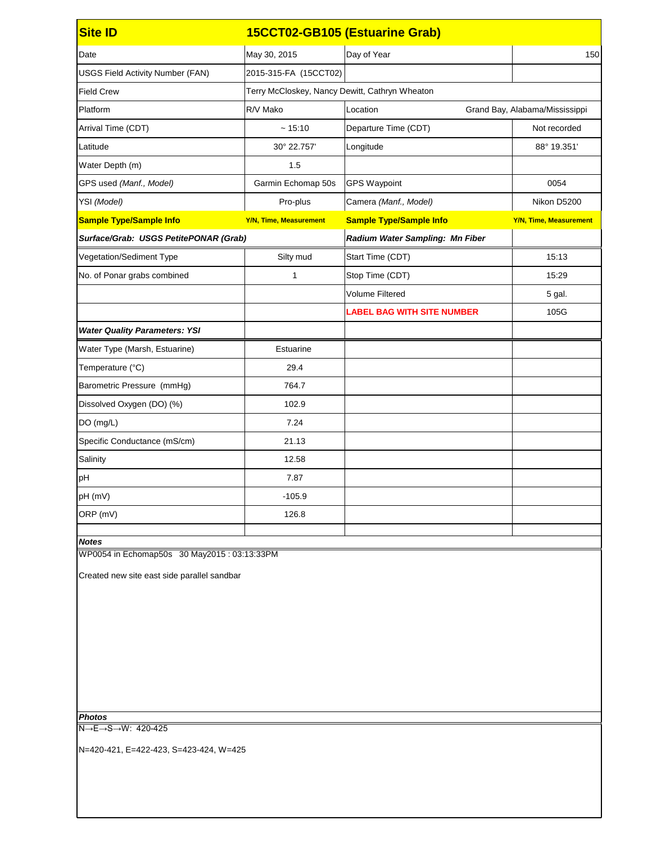| <b>Site ID</b>                                                                             |                                                | 15CCT02-GB105 (Estuarine Grab)    |                                |  |
|--------------------------------------------------------------------------------------------|------------------------------------------------|-----------------------------------|--------------------------------|--|
| Date                                                                                       | May 30, 2015                                   | Day of Year                       | 150                            |  |
| <b>USGS Field Activity Number (FAN)</b>                                                    | 2015-315-FA (15CCT02)                          |                                   |                                |  |
| <b>Field Crew</b>                                                                          | Terry McCloskey, Nancy Dewitt, Cathryn Wheaton |                                   |                                |  |
| Platform                                                                                   | R/V Mako                                       | Location                          | Grand Bay, Alabama/Mississippi |  |
| Arrival Time (CDT)                                                                         | ~15:10                                         | Departure Time (CDT)              | Not recorded                   |  |
| Latitude                                                                                   | 30° 22.757'                                    | Longitude                         | 88° 19.351'                    |  |
| Water Depth (m)                                                                            | 1.5                                            |                                   |                                |  |
| GPS used (Manf., Model)                                                                    | Garmin Echomap 50s                             | <b>GPS Waypoint</b>               | 0054                           |  |
| YSI (Model)                                                                                | Pro-plus                                       | Camera (Manf., Model)             | Nikon D5200                    |  |
| <b>Sample Type/Sample Info</b>                                                             | <b>Y/N, Time, Measurement</b>                  | <b>Sample Type/Sample Info</b>    | <b>Y/N, Time, Measurement</b>  |  |
| Surface/Grab: USGS PetitePONAR (Grab)                                                      |                                                | Radium Water Sampling: Mn Fiber   |                                |  |
| Vegetation/Sediment Type                                                                   | Silty mud                                      | Start Time (CDT)                  | 15:13                          |  |
| No. of Ponar grabs combined                                                                | 1                                              | Stop Time (CDT)                   | 15:29                          |  |
|                                                                                            |                                                | <b>Volume Filtered</b>            | 5 gal.                         |  |
|                                                                                            |                                                | <b>LABEL BAG WITH SITE NUMBER</b> | 105G                           |  |
| <b>Water Quality Parameters: YSI</b>                                                       |                                                |                                   |                                |  |
| Water Type (Marsh, Estuarine)                                                              | <b>Estuarine</b>                               |                                   |                                |  |
| Temperature (°C)                                                                           | 29.4                                           |                                   |                                |  |
| Barometric Pressure (mmHg)                                                                 | 764.7                                          |                                   |                                |  |
| Dissolved Oxygen (DO) (%)                                                                  | 102.9                                          |                                   |                                |  |
| DO (mg/L)                                                                                  | 7.24                                           |                                   |                                |  |
| Specific Conductance (mS/cm)                                                               | 21.13                                          |                                   |                                |  |
| Salinity                                                                                   | 12.58                                          |                                   |                                |  |
| pH                                                                                         | 7.87                                           |                                   |                                |  |
| pH (mV)                                                                                    | $-105.9$                                       |                                   |                                |  |
| ORP (mV)                                                                                   | 126.8                                          |                                   |                                |  |
| <b>Notes</b>                                                                               |                                                |                                   |                                |  |
| WP0054 in Echomap50s 30 May2015: 03:13:33PM<br>Created new site east side parallel sandbar |                                                |                                   |                                |  |
|                                                                                            |                                                |                                   |                                |  |
|                                                                                            |                                                |                                   |                                |  |
|                                                                                            |                                                |                                   |                                |  |
|                                                                                            |                                                |                                   |                                |  |
|                                                                                            |                                                |                                   |                                |  |
|                                                                                            |                                                |                                   |                                |  |
|                                                                                            |                                                |                                   |                                |  |
| <b>Photos</b><br>$N \rightarrow E \rightarrow S \rightarrow W$ : 420-425                   |                                                |                                   |                                |  |
|                                                                                            |                                                |                                   |                                |  |
| N=420-421, E=422-423, S=423-424, W=425                                                     |                                                |                                   |                                |  |
|                                                                                            |                                                |                                   |                                |  |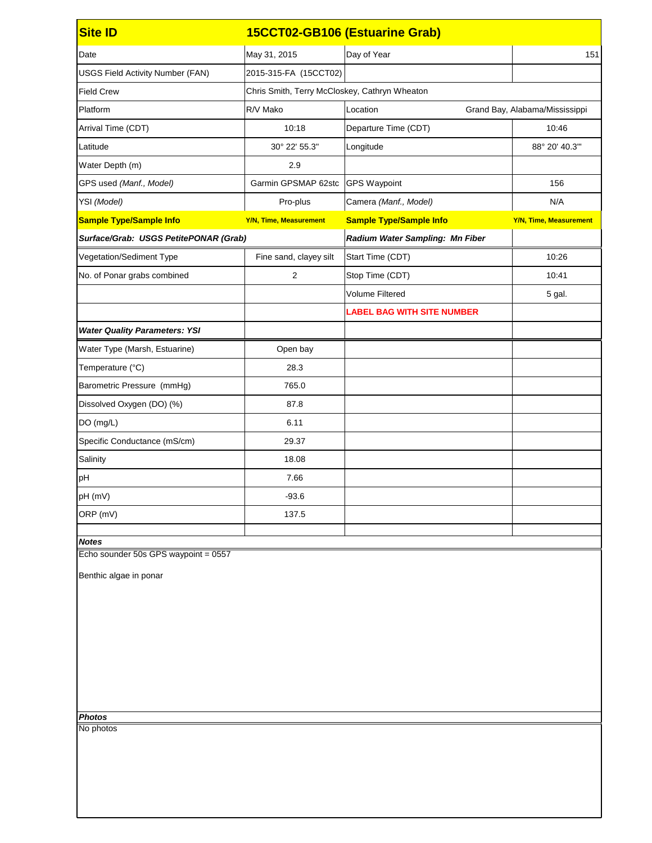| <b>Site ID</b>                          |                                               | 15CCT02-GB106 (Estuarine Grab)         |                                |
|-----------------------------------------|-----------------------------------------------|----------------------------------------|--------------------------------|
| Date                                    | May 31, 2015                                  | Day of Year                            | 151                            |
| <b>USGS Field Activity Number (FAN)</b> | 2015-315-FA (15CCT02)                         |                                        |                                |
| <b>Field Crew</b>                       | Chris Smith, Terry McCloskey, Cathryn Wheaton |                                        |                                |
| Platform                                | R/V Mako                                      | Location                               | Grand Bay, Alabama/Mississippi |
| Arrival Time (CDT)                      | 10:18                                         | Departure Time (CDT)                   | 10:46                          |
| Latitude                                | 30° 22' 55.3"                                 | Longitude                              | 88° 20' 40.3"                  |
| Water Depth (m)                         | 2.9                                           |                                        |                                |
| GPS used (Manf., Model)                 | Garmin GPSMAP 62stc                           | <b>GPS Waypoint</b>                    | 156                            |
| YSI (Model)                             | Pro-plus                                      | Camera (Manf., Model)                  | N/A                            |
| <b>Sample Type/Sample Info</b>          | <b>Y/N, Time, Measurement</b>                 | <b>Sample Type/Sample Info</b>         | <b>Y/N, Time, Measurement</b>  |
| Surface/Grab: USGS PetitePONAR (Grab)   |                                               | <b>Radium Water Sampling: Mn Fiber</b> |                                |
| Vegetation/Sediment Type                | Fine sand, clayey silt                        | Start Time (CDT)                       | 10:26                          |
| No. of Ponar grabs combined             | $\overline{2}$                                | Stop Time (CDT)                        | 10:41                          |
|                                         |                                               | <b>Volume Filtered</b>                 | 5 gal.                         |
|                                         |                                               | <b>LABEL BAG WITH SITE NUMBER</b>      |                                |
| <b>Water Quality Parameters: YSI</b>    |                                               |                                        |                                |
| Water Type (Marsh, Estuarine)           | Open bay                                      |                                        |                                |
| Temperature (°C)                        | 28.3                                          |                                        |                                |
| Barometric Pressure (mmHg)              | 765.0                                         |                                        |                                |
| Dissolved Oxygen (DO) (%)               | 87.8                                          |                                        |                                |
| DO (mg/L)                               | 6.11                                          |                                        |                                |
| Specific Conductance (mS/cm)            | 29.37                                         |                                        |                                |
| Salinity                                | 18.08                                         |                                        |                                |
| pH                                      | 7.66                                          |                                        |                                |
| pH (mV)                                 | $-93.6$                                       |                                        |                                |
| ORP (mV)                                | 137.5                                         |                                        |                                |
| <b>Notes</b>                            |                                               |                                        |                                |
| Echo sounder 50s GPS waypoint = 0557    |                                               |                                        |                                |
| Benthic algae in ponar                  |                                               |                                        |                                |
|                                         |                                               |                                        |                                |
|                                         |                                               |                                        |                                |
|                                         |                                               |                                        |                                |
|                                         |                                               |                                        |                                |
|                                         |                                               |                                        |                                |
|                                         |                                               |                                        |                                |
|                                         |                                               |                                        |                                |
| <b>Photos</b>                           |                                               |                                        |                                |
| No photos                               |                                               |                                        |                                |
|                                         |                                               |                                        |                                |
|                                         |                                               |                                        |                                |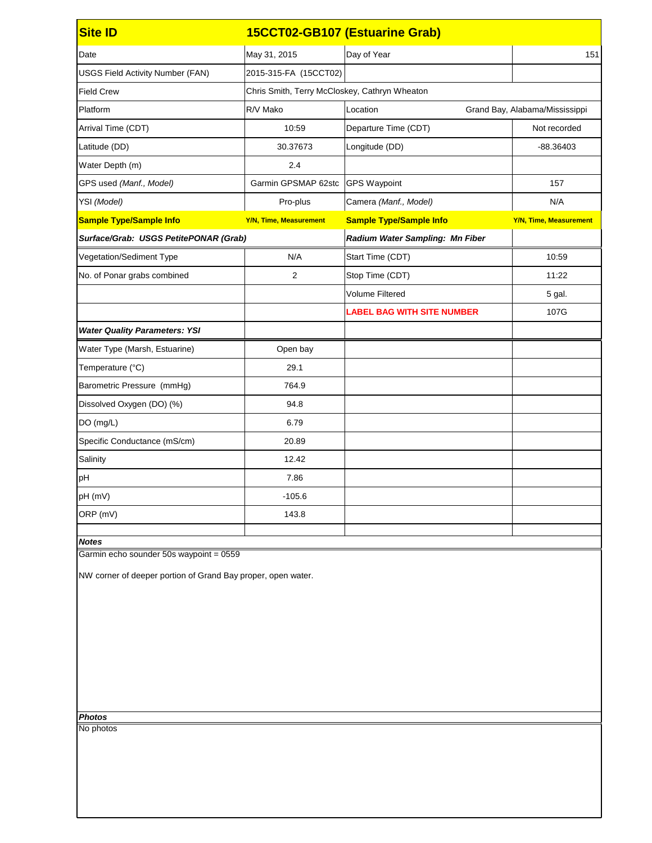| <b>Site ID</b>                                                                                          |                               | 15CCT02-GB107 (Estuarine Grab)                |                                |  |
|---------------------------------------------------------------------------------------------------------|-------------------------------|-----------------------------------------------|--------------------------------|--|
| Date                                                                                                    | May 31, 2015                  | Day of Year                                   | 151                            |  |
| <b>USGS Field Activity Number (FAN)</b>                                                                 | 2015-315-FA (15CCT02)         |                                               |                                |  |
| <b>Field Crew</b>                                                                                       |                               | Chris Smith, Terry McCloskey, Cathryn Wheaton |                                |  |
| Platform                                                                                                | R/V Mako                      | Location                                      | Grand Bay, Alabama/Mississippi |  |
| Arrival Time (CDT)                                                                                      | 10:59                         | Departure Time (CDT)                          | Not recorded                   |  |
| Latitude (DD)                                                                                           | 30.37673                      | Longitude (DD)                                | $-88.36403$                    |  |
| Water Depth (m)                                                                                         | 2.4                           |                                               |                                |  |
| GPS used (Manf., Model)                                                                                 | Garmin GPSMAP 62stc           | <b>GPS Waypoint</b>                           | 157                            |  |
| YSI (Model)                                                                                             | Pro-plus                      | Camera (Manf., Model)                         | N/A                            |  |
| <b>Sample Type/Sample Info</b>                                                                          | <b>Y/N, Time, Measurement</b> | <b>Sample Type/Sample Info</b>                | <b>Y/N, Time, Measurement</b>  |  |
| Surface/Grab: USGS PetitePONAR (Grab)                                                                   |                               | Radium Water Sampling: Mn Fiber               |                                |  |
| <b>Vegetation/Sediment Type</b>                                                                         | N/A                           | Start Time (CDT)                              | 10:59                          |  |
| No. of Ponar grabs combined                                                                             | 2                             | Stop Time (CDT)                               | 11:22                          |  |
|                                                                                                         |                               | <b>Volume Filtered</b>                        | 5 gal.                         |  |
|                                                                                                         |                               | <b>LABEL BAG WITH SITE NUMBER</b>             | 107G                           |  |
| <b>Water Quality Parameters: YSI</b>                                                                    |                               |                                               |                                |  |
| Water Type (Marsh, Estuarine)                                                                           | Open bay                      |                                               |                                |  |
| Temperature (°C)                                                                                        | 29.1                          |                                               |                                |  |
| Barometric Pressure (mmHg)                                                                              | 764.9                         |                                               |                                |  |
| Dissolved Oxygen (DO) (%)                                                                               | 94.8                          |                                               |                                |  |
| DO (mg/L)                                                                                               | 6.79                          |                                               |                                |  |
| Specific Conductance (mS/cm)                                                                            | 20.89                         |                                               |                                |  |
| Salinity                                                                                                | 12.42                         |                                               |                                |  |
| pH                                                                                                      | 7.86                          |                                               |                                |  |
| pH (mV)                                                                                                 | $-105.6$                      |                                               |                                |  |
| ORP (mV)                                                                                                | 143.8                         |                                               |                                |  |
| <b>Notes</b>                                                                                            |                               |                                               |                                |  |
| Garmin echo sounder 50s waypoint = 0559<br>NW corner of deeper portion of Grand Bay proper, open water. |                               |                                               |                                |  |
|                                                                                                         |                               |                                               |                                |  |

*Photos*

No photos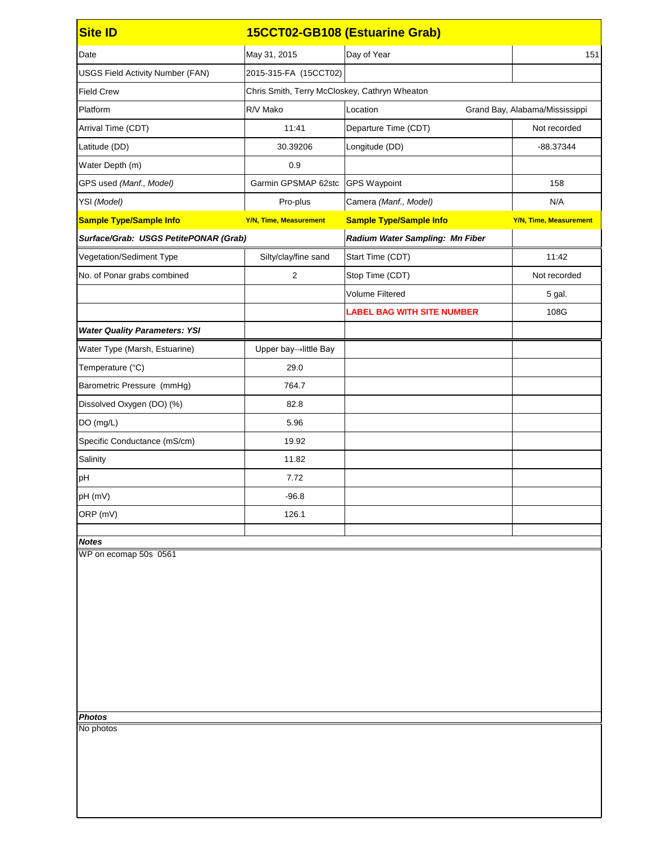| <b>Site ID</b>                          |                                               | 15CCT02-GB108 (Estuarine Grab)    |                                |
|-----------------------------------------|-----------------------------------------------|-----------------------------------|--------------------------------|
| Date                                    | May 31, 2015                                  | Day of Year                       | 151                            |
| <b>USGS Field Activity Number (FAN)</b> | 2015-315-FA (15CCT02)                         |                                   |                                |
| <b>Field Crew</b>                       | Chris Smith, Terry McCloskey, Cathryn Wheaton |                                   |                                |
| Platform                                | R/V Mako                                      | Location                          | Grand Bay, Alabama/Mississippi |
| Arrival Time (CDT)                      | 11:41                                         | Departure Time (CDT)              | Not recorded                   |
| Latitude (DD)                           | 30.39206                                      | Longitude (DD)                    | -88.37344                      |
| Water Depth (m)                         | 0.9                                           |                                   |                                |
| GPS used (Manf., Model)                 | Garmin GPSMAP 62stc                           | <b>GPS Waypoint</b>               | 158                            |
| YSI (Model)                             | Pro-plus                                      | Camera (Manf., Model)             | N/A                            |
| <b>Sample Type/Sample Info</b>          | <b>Y/N, Time, Measurement</b>                 | <b>Sample Type/Sample Info</b>    | <b>Y/N, Time, Measurement</b>  |
| Surface/Grab: USGS PetitePONAR (Grab)   |                                               | Radium Water Sampling: Mn Fiber   |                                |
| Vegetation/Sediment Type                | Silty/clay/fine sand                          | Start Time (CDT)                  | 11:42                          |
| No. of Ponar grabs combined             | $\overline{2}$                                | Stop Time (CDT)                   | Not recorded                   |
|                                         |                                               | <b>Volume Filtered</b>            | 5 gal.                         |
|                                         |                                               | <b>LABEL BAG WITH SITE NUMBER</b> | 108G                           |
| <b>Water Quality Parameters: YSI</b>    |                                               |                                   |                                |
| Water Type (Marsh, Estuarine)           | Upper bay→little Bay                          |                                   |                                |
| Temperature (°C)                        | 29.0                                          |                                   |                                |
| Barometric Pressure (mmHg)              | 764.7                                         |                                   |                                |
| Dissolved Oxygen (DO) (%)               | 82.8                                          |                                   |                                |
| DO (mg/L)                               | 5.96                                          |                                   |                                |
| Specific Conductance (mS/cm)            | 19.92                                         |                                   |                                |
| Salinity                                | 11.82                                         |                                   |                                |
| pH                                      | 7.72                                          |                                   |                                |
| pH (mV)                                 | $-96.8$                                       |                                   |                                |
| ORP (mV)                                | 126.1                                         |                                   |                                |
| <b>Notes</b>                            |                                               |                                   |                                |
| WP on ecomap 50s 0561                   |                                               |                                   |                                |
|                                         |                                               |                                   |                                |
|                                         |                                               |                                   |                                |
|                                         |                                               |                                   |                                |
|                                         |                                               |                                   |                                |
|                                         |                                               |                                   |                                |
|                                         |                                               |                                   |                                |
|                                         |                                               |                                   |                                |
|                                         |                                               |                                   |                                |
| <b>Photos</b>                           |                                               |                                   |                                |
| No photos                               |                                               |                                   |                                |
|                                         |                                               |                                   |                                |
|                                         |                                               |                                   |                                |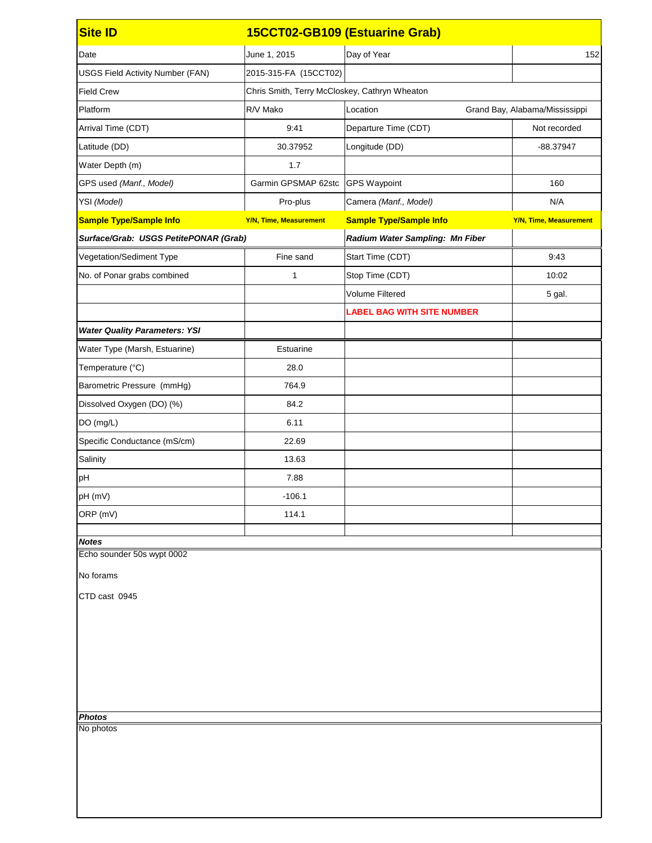| <b>Site ID</b>                          |                                               | 15CCT02-GB109 (Estuarine Grab)    |                                |  |
|-----------------------------------------|-----------------------------------------------|-----------------------------------|--------------------------------|--|
| Date                                    | June 1, 2015                                  | Day of Year                       | 152                            |  |
| <b>USGS Field Activity Number (FAN)</b> | 2015-315-FA (15CCT02)                         |                                   |                                |  |
| <b>Field Crew</b>                       | Chris Smith, Terry McCloskey, Cathryn Wheaton |                                   |                                |  |
| Platform                                | R/V Mako                                      | Location                          | Grand Bay, Alabama/Mississippi |  |
| Arrival Time (CDT)                      | 9:41                                          | Departure Time (CDT)              | Not recorded                   |  |
| Latitude (DD)                           | 30.37952                                      | Longitude (DD)                    | -88.37947                      |  |
| Water Depth (m)                         | 1.7                                           |                                   |                                |  |
| GPS used (Manf., Model)                 | Garmin GPSMAP 62stc                           | <b>GPS Waypoint</b>               | 160                            |  |
| YSI (Model)                             | Pro-plus                                      | Camera (Manf., Model)             | N/A                            |  |
| <b>Sample Type/Sample Info</b>          | <b>Y/N, Time, Measurement</b>                 | <b>Sample Type/Sample Info</b>    | <b>Y/N, Time, Measurement</b>  |  |
| Surface/Grab: USGS PetitePONAR (Grab)   |                                               | Radium Water Sampling: Mn Fiber   |                                |  |
| Vegetation/Sediment Type                | Fine sand                                     | Start Time (CDT)                  | 9:43                           |  |
| No. of Ponar grabs combined             | 1                                             | Stop Time (CDT)                   | 10:02                          |  |
|                                         |                                               | <b>Volume Filtered</b>            | 5 gal.                         |  |
|                                         |                                               | <b>LABEL BAG WITH SITE NUMBER</b> |                                |  |
| <b>Water Quality Parameters: YSI</b>    |                                               |                                   |                                |  |
| Water Type (Marsh, Estuarine)           | Estuarine                                     |                                   |                                |  |
| Temperature (°C)                        | 28.0                                          |                                   |                                |  |
| Barometric Pressure (mmHg)              | 764.9                                         |                                   |                                |  |
| Dissolved Oxygen (DO) (%)               | 84.2                                          |                                   |                                |  |
| DO (mg/L)                               | 6.11                                          |                                   |                                |  |
| Specific Conductance (mS/cm)            | 22.69                                         |                                   |                                |  |
| Salinity                                | 13.63                                         |                                   |                                |  |
| pH                                      | 7.88                                          |                                   |                                |  |
| pH (mV)                                 | $-106.1$                                      |                                   |                                |  |
| ORP (mV)                                | 114.1                                         |                                   |                                |  |
| <b>Notes</b>                            |                                               |                                   |                                |  |
| Echo sounder 50s wypt 0002              |                                               |                                   |                                |  |
| No forams                               |                                               |                                   |                                |  |
| CTD cast 0945                           |                                               |                                   |                                |  |
|                                         |                                               |                                   |                                |  |
|                                         |                                               |                                   |                                |  |
|                                         |                                               |                                   |                                |  |
|                                         |                                               |                                   |                                |  |
|                                         |                                               |                                   |                                |  |
|                                         |                                               |                                   |                                |  |
| <b>Photos</b>                           |                                               |                                   |                                |  |
| No photos                               |                                               |                                   |                                |  |
|                                         |                                               |                                   |                                |  |
|                                         |                                               |                                   |                                |  |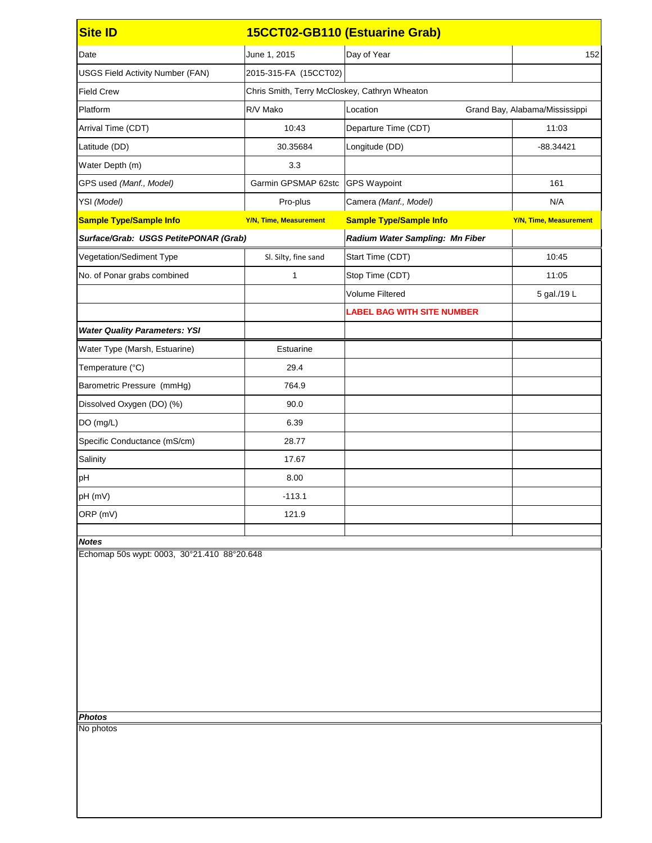| <b>Site ID</b>                                                            |                               | 15CCT02-GB110 (Estuarine Grab)                |                                |  |
|---------------------------------------------------------------------------|-------------------------------|-----------------------------------------------|--------------------------------|--|
| Date                                                                      | June 1, 2015                  | Day of Year                                   | 152                            |  |
| <b>USGS Field Activity Number (FAN)</b>                                   | 2015-315-FA (15CCT02)         |                                               |                                |  |
| <b>Field Crew</b>                                                         |                               | Chris Smith, Terry McCloskey, Cathryn Wheaton |                                |  |
| Platform                                                                  | R/V Mako                      | Location                                      | Grand Bay, Alabama/Mississippi |  |
| Arrival Time (CDT)                                                        | 10:43                         | Departure Time (CDT)                          | 11:03                          |  |
| Latitude (DD)                                                             | 30.35684                      | Longitude (DD)                                | $-88.34421$                    |  |
| Water Depth (m)                                                           | 3.3                           |                                               |                                |  |
| GPS used (Manf., Model)                                                   | Garmin GPSMAP 62stc           | <b>GPS Waypoint</b>                           | 161                            |  |
| YSI (Model)                                                               | Pro-plus                      | Camera (Manf., Model)                         | N/A                            |  |
| <b>Sample Type/Sample Info</b>                                            | <b>Y/N, Time, Measurement</b> | <b>Sample Type/Sample Info</b>                | <b>Y/N, Time, Measurement</b>  |  |
| Surface/Grab: USGS PetitePONAR (Grab)                                     |                               | <b>Radium Water Sampling: Mn Fiber</b>        |                                |  |
| Vegetation/Sediment Type                                                  | Sl. Silty, fine sand          | Start Time (CDT)                              | 10:45                          |  |
| No. of Ponar grabs combined                                               | 1                             | Stop Time (CDT)                               | 11:05                          |  |
|                                                                           |                               | <b>Volume Filtered</b>                        | 5 gal./19 L                    |  |
|                                                                           |                               | <b>LABEL BAG WITH SITE NUMBER</b>             |                                |  |
| <b>Water Quality Parameters: YSI</b>                                      |                               |                                               |                                |  |
| Water Type (Marsh, Estuarine)                                             | Estuarine                     |                                               |                                |  |
| Temperature (°C)                                                          | 29.4                          |                                               |                                |  |
| Barometric Pressure (mmHg)                                                | 764.9                         |                                               |                                |  |
| Dissolved Oxygen (DO) (%)                                                 | 90.0                          |                                               |                                |  |
| DO (mg/L)                                                                 | 6.39                          |                                               |                                |  |
| Specific Conductance (mS/cm)                                              | 28.77                         |                                               |                                |  |
| Salinity                                                                  | 17.67                         |                                               |                                |  |
| pH                                                                        | 8.00                          |                                               |                                |  |
| pH (mV)                                                                   | $-113.1$                      |                                               |                                |  |
| ORP (mV)                                                                  | 121.9                         |                                               |                                |  |
| <b>Notes</b>                                                              |                               |                                               |                                |  |
| Echomap 50s wypt: 0003, 30°21.410 88°20.648<br><b>Photos</b><br>No photos |                               |                                               |                                |  |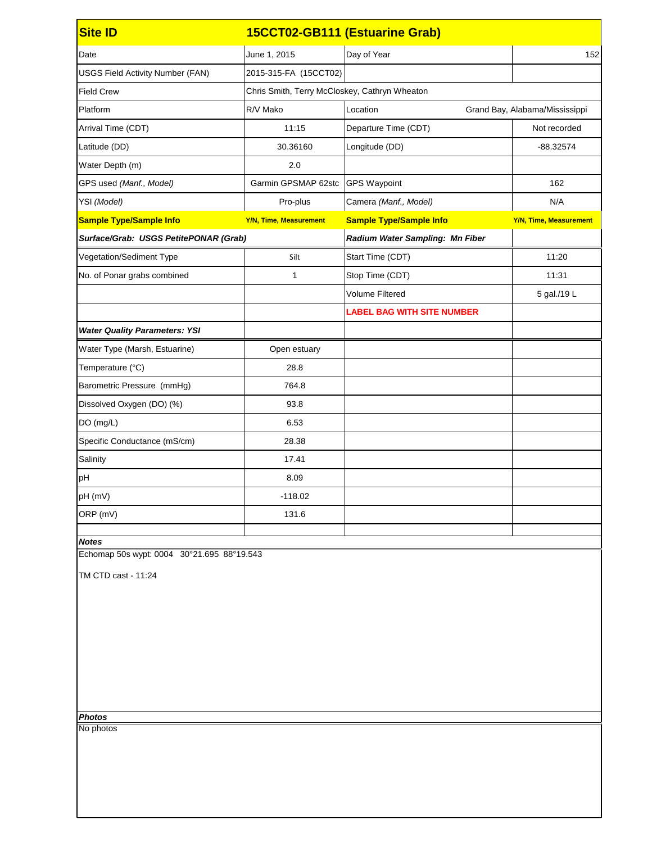| <b>Site ID</b>                             |                                               | 15CCT02-GB111 (Estuarine Grab)    |                                |
|--------------------------------------------|-----------------------------------------------|-----------------------------------|--------------------------------|
| Date                                       | June 1, 2015                                  | Day of Year                       | 152                            |
| <b>USGS Field Activity Number (FAN)</b>    | 2015-315-FA (15CCT02)                         |                                   |                                |
| <b>Field Crew</b>                          | Chris Smith, Terry McCloskey, Cathryn Wheaton |                                   |                                |
| Platform                                   | R/V Mako                                      | Location                          | Grand Bay, Alabama/Mississippi |
| Arrival Time (CDT)                         | 11:15                                         | Departure Time (CDT)              | Not recorded                   |
| Latitude (DD)                              | 30.36160                                      | Longitude (DD)                    | $-88.32574$                    |
| Water Depth (m)                            | 2.0                                           |                                   |                                |
| GPS used (Manf., Model)                    | Garmin GPSMAP 62stc   GPS Waypoint            |                                   | 162                            |
| YSI (Model)                                | Pro-plus                                      | Camera (Manf., Model)             | N/A                            |
| <b>Sample Type/Sample Info</b>             | <b>Y/N, Time, Measurement</b>                 | <b>Sample Type/Sample Info</b>    | <b>Y/N, Time, Measurement</b>  |
| Surface/Grab: USGS PetitePONAR (Grab)      |                                               | Radium Water Sampling: Mn Fiber   |                                |
| Vegetation/Sediment Type                   | Silt                                          | Start Time (CDT)                  | 11:20                          |
| No. of Ponar grabs combined                | 1                                             | Stop Time (CDT)                   | 11:31                          |
|                                            |                                               | <b>Volume Filtered</b>            | 5 gal./19 L                    |
|                                            |                                               | <b>LABEL BAG WITH SITE NUMBER</b> |                                |
| <b>Water Quality Parameters: YSI</b>       |                                               |                                   |                                |
| Water Type (Marsh, Estuarine)              | Open estuary                                  |                                   |                                |
| Temperature (°C)                           | 28.8                                          |                                   |                                |
| Barometric Pressure (mmHg)                 | 764.8                                         |                                   |                                |
| Dissolved Oxygen (DO) (%)                  | 93.8                                          |                                   |                                |
| DO (mg/L)                                  | 6.53                                          |                                   |                                |
| Specific Conductance (mS/cm)               | 28.38                                         |                                   |                                |
| Salinity                                   | 17.41                                         |                                   |                                |
| pH                                         | 8.09                                          |                                   |                                |
| pH (mV)                                    | $-118.02$                                     |                                   |                                |
| ORP (mV)                                   | 131.6                                         |                                   |                                |
| <b>Notes</b>                               |                                               |                                   |                                |
| Echomap 50s wypt: 0004 30°21.695 88°19.543 |                                               |                                   |                                |
| TM CTD cast - 11:24                        |                                               |                                   |                                |
|                                            |                                               |                                   |                                |
|                                            |                                               |                                   |                                |
|                                            |                                               |                                   |                                |
|                                            |                                               |                                   |                                |
|                                            |                                               |                                   |                                |
|                                            |                                               |                                   |                                |
|                                            |                                               |                                   |                                |
| <b>Photos</b><br>No photos                 |                                               |                                   |                                |
|                                            |                                               |                                   |                                |
|                                            |                                               |                                   |                                |
|                                            |                                               |                                   |                                |
|                                            |                                               |                                   |                                |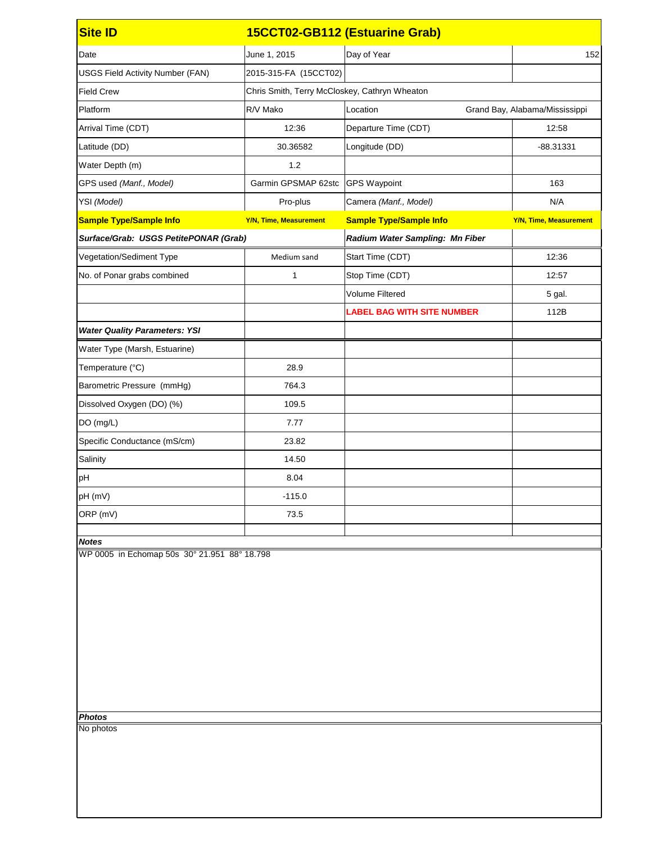| <b>Site ID</b>                                                |                                  | 15CCT02-GB112 (Estuarine Grab)                |                                |  |
|---------------------------------------------------------------|----------------------------------|-----------------------------------------------|--------------------------------|--|
| Date                                                          | June 1, 2015                     | Day of Year                                   | 152                            |  |
| <b>USGS Field Activity Number (FAN)</b>                       | 2015-315-FA (15CCT02)            |                                               |                                |  |
| <b>Field Crew</b>                                             |                                  | Chris Smith, Terry McCloskey, Cathryn Wheaton |                                |  |
| Platform                                                      | R/V Mako                         | Location                                      | Grand Bay, Alabama/Mississippi |  |
| Arrival Time (CDT)                                            | 12:36                            | Departure Time (CDT)                          | 12:58                          |  |
| Latitude (DD)                                                 | 30.36582                         | Longitude (DD)                                | -88.31331                      |  |
| Water Depth (m)                                               | 1.2                              |                                               |                                |  |
| GPS used (Manf., Model)                                       | Garmin GPSMAP 62stc GPS Waypoint |                                               | 163                            |  |
| YSI (Model)                                                   | Pro-plus                         | Camera (Manf., Model)                         | N/A                            |  |
| <b>Sample Type/Sample Info</b>                                | <b>Y/N, Time, Measurement</b>    | <b>Sample Type/Sample Info</b>                | <b>Y/N, Time, Measurement</b>  |  |
| Surface/Grab: USGS PetitePONAR (Grab)                         |                                  | Radium Water Sampling: Mn Fiber               |                                |  |
| Vegetation/Sediment Type                                      | Medium sand                      | Start Time (CDT)                              | 12:36                          |  |
| No. of Ponar grabs combined                                   | 1                                | Stop Time (CDT)                               | 12:57                          |  |
|                                                               |                                  | <b>Volume Filtered</b>                        | 5 gal.                         |  |
|                                                               |                                  | <b>LABEL BAG WITH SITE NUMBER</b>             | 112B                           |  |
| <b>Water Quality Parameters: YSI</b>                          |                                  |                                               |                                |  |
| Water Type (Marsh, Estuarine)                                 |                                  |                                               |                                |  |
| Temperature (°C)                                              | 28.9                             |                                               |                                |  |
| Barometric Pressure (mmHg)                                    | 764.3                            |                                               |                                |  |
| Dissolved Oxygen (DO) (%)                                     | 109.5                            |                                               |                                |  |
| DO (mg/L)                                                     | 7.77                             |                                               |                                |  |
| Specific Conductance (mS/cm)                                  | 23.82                            |                                               |                                |  |
| Salinity                                                      | 14.50                            |                                               |                                |  |
| pH                                                            | 8.04                             |                                               |                                |  |
| pH (mV)                                                       | $-115.0$                         |                                               |                                |  |
| ORP (mV)                                                      | 73.5                             |                                               |                                |  |
| <b>Notes</b>                                                  |                                  |                                               |                                |  |
| WP 0005 in Echomap 50s 30° 21.951 88° 18.798<br><b>Photos</b> |                                  |                                               |                                |  |
| No photos                                                     |                                  |                                               |                                |  |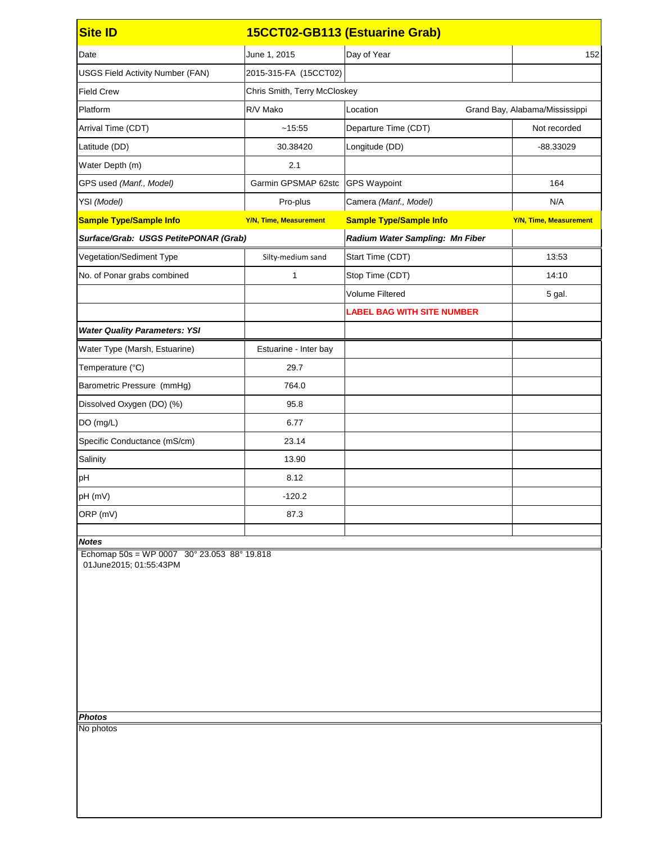| June 1, 2015                          | Day of Year                                   | 152                                                                  |
|---------------------------------------|-----------------------------------------------|----------------------------------------------------------------------|
| 2015-315-FA (15CCT02)                 |                                               |                                                                      |
| Chris Smith, Terry McCloskey          |                                               |                                                                      |
| R/V Mako                              | Location                                      | Grand Bay, Alabama/Mississippi                                       |
| ~15:55                                | Departure Time (CDT)                          | Not recorded                                                         |
| 30.38420                              | Longitude (DD)                                | -88.33029                                                            |
| 2.1                                   |                                               |                                                                      |
|                                       |                                               | 164                                                                  |
| Pro-plus                              | Camera (Manf., Model)                         | N/A                                                                  |
| <b>Y/N, Time, Measurement</b>         | <b>Sample Type/Sample Info</b>                | <b>Y/N, Time, Measurement</b>                                        |
| Surface/Grab: USGS PetitePONAR (Grab) | Radium Water Sampling: Mn Fiber               |                                                                      |
| Silty-medium sand                     | Start Time (CDT)                              | 13:53                                                                |
| 1                                     | Stop Time (CDT)                               | 14:10                                                                |
|                                       | <b>Volume Filtered</b>                        | 5 gal.                                                               |
|                                       | <b>LABEL BAG WITH SITE NUMBER</b>             |                                                                      |
|                                       |                                               |                                                                      |
| Estuarine - Inter bay                 |                                               |                                                                      |
| 29.7                                  |                                               |                                                                      |
| 764.0                                 |                                               |                                                                      |
| 95.8                                  |                                               |                                                                      |
| 6.77                                  |                                               |                                                                      |
| 23.14                                 |                                               |                                                                      |
| 13.90                                 |                                               |                                                                      |
| 8.12                                  |                                               |                                                                      |
| $-120.2$                              |                                               |                                                                      |
| 87.3                                  |                                               |                                                                      |
|                                       |                                               |                                                                      |
|                                       |                                               |                                                                      |
|                                       | Echomap $50s = WP 0007 30° 23.053 88° 19.818$ | 15CCT02-GB113 (Estuarine Grab)<br>Garmin GPSMAP 62stc   GPS Waypoint |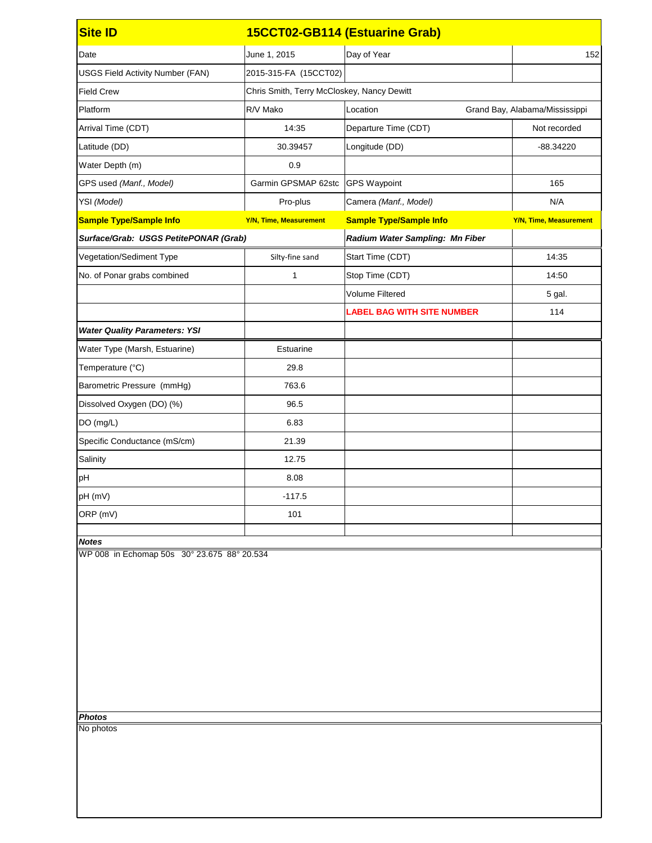| <b>Site ID</b>                                               |                                            | 15CCT02-GB114 (Estuarine Grab)    |                                |
|--------------------------------------------------------------|--------------------------------------------|-----------------------------------|--------------------------------|
| Date                                                         | June 1, 2015                               | Day of Year                       | 152                            |
| <b>USGS Field Activity Number (FAN)</b>                      | 2015-315-FA (15CCT02)                      |                                   |                                |
| <b>Field Crew</b>                                            | Chris Smith, Terry McCloskey, Nancy Dewitt |                                   |                                |
| Platform                                                     | R/V Mako                                   | Location                          | Grand Bay, Alabama/Mississippi |
| Arrival Time (CDT)                                           | 14:35                                      | Departure Time (CDT)              | Not recorded                   |
| Latitude (DD)                                                | 30.39457                                   | Longitude (DD)                    | $-88.34220$                    |
| Water Depth (m)                                              | 0.9                                        |                                   |                                |
| GPS used (Manf., Model)                                      | Garmin GPSMAP 62stc                        | <b>GPS Waypoint</b>               | 165                            |
| YSI (Model)                                                  | Pro-plus                                   | Camera (Manf., Model)             | N/A                            |
| <b>Sample Type/Sample Info</b>                               | <b>Y/N, Time, Measurement</b>              | <b>Sample Type/Sample Info</b>    | <b>Y/N, Time, Measurement</b>  |
| Surface/Grab: USGS PetitePONAR (Grab)                        |                                            | Radium Water Sampling: Mn Fiber   |                                |
| Vegetation/Sediment Type                                     | Silty-fine sand                            | Start Time (CDT)                  | 14:35                          |
| No. of Ponar grabs combined                                  | 1                                          | Stop Time (CDT)                   | 14:50                          |
|                                                              |                                            | <b>Volume Filtered</b>            | 5 gal.                         |
|                                                              |                                            | <b>LABEL BAG WITH SITE NUMBER</b> | 114                            |
| <b>Water Quality Parameters: YSI</b>                         |                                            |                                   |                                |
| Water Type (Marsh, Estuarine)                                | Estuarine                                  |                                   |                                |
| Temperature (°C)                                             | 29.8                                       |                                   |                                |
| Barometric Pressure (mmHg)                                   | 763.6                                      |                                   |                                |
| Dissolved Oxygen (DO) (%)                                    | 96.5                                       |                                   |                                |
| DO (mg/L)                                                    | 6.83                                       |                                   |                                |
| Specific Conductance (mS/cm)                                 | 21.39                                      |                                   |                                |
| Salinity                                                     | 12.75                                      |                                   |                                |
| pH                                                           | 8.08                                       |                                   |                                |
| pH (mV)                                                      | $-117.5$                                   |                                   |                                |
| ORP (mV)                                                     | 101                                        |                                   |                                |
| <b>Notes</b>                                                 |                                            |                                   |                                |
| WP 008 in Echomap 50s 30° 23.675 88° 20.534<br><b>Photos</b> |                                            |                                   |                                |
| No photos                                                    |                                            |                                   |                                |
|                                                              |                                            |                                   |                                |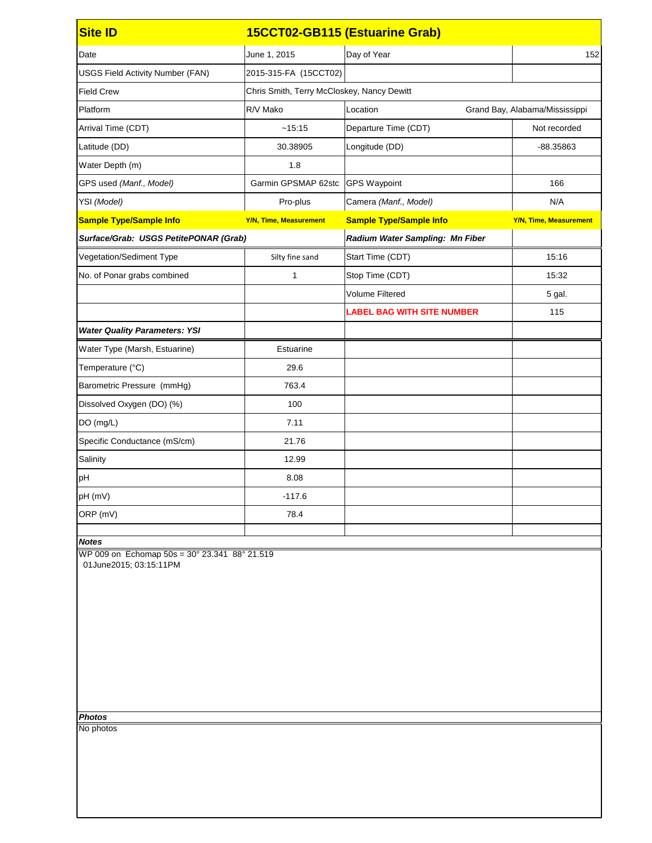| June 1, 2015                          | Day of Year                                   | 152                                                                                                 |
|---------------------------------------|-----------------------------------------------|-----------------------------------------------------------------------------------------------------|
| 2015-315-FA (15CCT02)                 |                                               |                                                                                                     |
|                                       |                                               |                                                                                                     |
| R/V Mako                              | Location                                      | Grand Bay, Alabama/Mississippi                                                                      |
| ~15:15                                | Departure Time (CDT)                          | Not recorded                                                                                        |
| 30.38905                              | Longitude (DD)                                | -88.35863                                                                                           |
| 1.8                                   |                                               |                                                                                                     |
| Garmin GPSMAP 62stc                   |                                               | 166                                                                                                 |
| Pro-plus                              | Camera (Manf., Model)                         | N/A                                                                                                 |
| <b>Y/N, Time, Measurement</b>         | <b>Sample Type/Sample Info</b>                | <b>Y/N, Time, Measurement</b>                                                                       |
| Surface/Grab: USGS PetitePONAR (Grab) | Radium Water Sampling: Mn Fiber               |                                                                                                     |
| Silty fine sand                       | Start Time (CDT)                              | 15:16                                                                                               |
| $\mathbf 1$                           | Stop Time (CDT)                               | 15:32                                                                                               |
|                                       | <b>Volume Filtered</b>                        | 5 gal.                                                                                              |
|                                       | <b>LABEL BAG WITH SITE NUMBER</b>             | 115                                                                                                 |
|                                       |                                               |                                                                                                     |
| Estuarine                             |                                               |                                                                                                     |
| 29.6                                  |                                               |                                                                                                     |
| 763.4                                 |                                               |                                                                                                     |
| 100                                   |                                               |                                                                                                     |
| 7.11                                  |                                               |                                                                                                     |
| 21.76                                 |                                               |                                                                                                     |
| 12.99                                 |                                               |                                                                                                     |
| 8.08                                  |                                               |                                                                                                     |
| $-117.6$                              |                                               |                                                                                                     |
| 78.4                                  |                                               |                                                                                                     |
|                                       |                                               |                                                                                                     |
|                                       |                                               |                                                                                                     |
|                                       | WP 009 on Echomap 50s = 30° 23.341 88° 21.519 | 15CCT02-GB115 (Estuarine Grab)<br>Chris Smith, Terry McCloskey, Nancy Dewitt<br><b>GPS Waypoint</b> |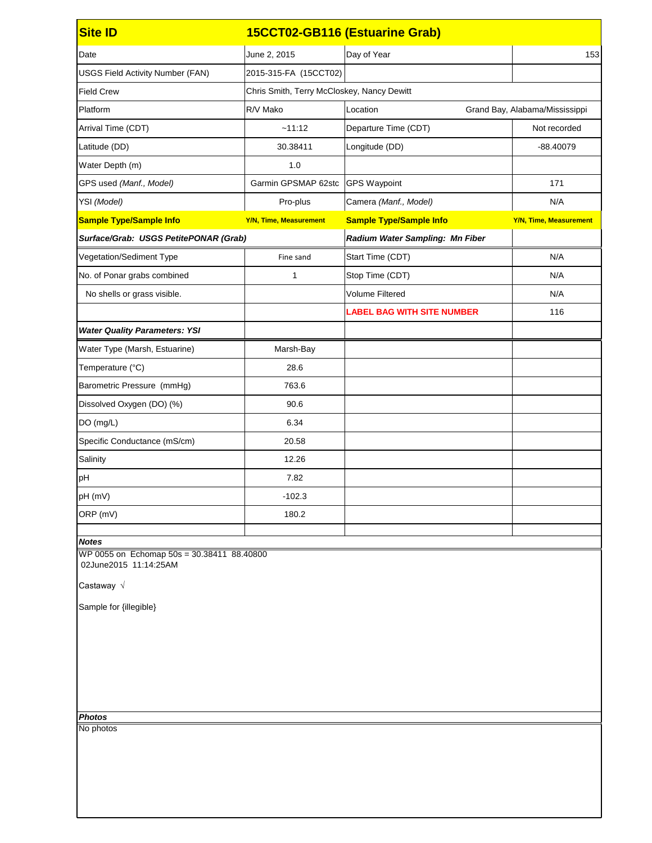| <b>Site ID</b>                                                                             |                                            | 15CCT02-GB116 (Estuarine Grab)    |                                |
|--------------------------------------------------------------------------------------------|--------------------------------------------|-----------------------------------|--------------------------------|
| Date                                                                                       | June 2, 2015                               | Day of Year                       | 153                            |
| <b>USGS Field Activity Number (FAN)</b>                                                    | 2015-315-FA (15CCT02)                      |                                   |                                |
| <b>Field Crew</b>                                                                          | Chris Smith, Terry McCloskey, Nancy Dewitt |                                   |                                |
| Platform                                                                                   | R/V Mako                                   | Location                          | Grand Bay, Alabama/Mississippi |
| Arrival Time (CDT)                                                                         | ~11:12                                     | Departure Time (CDT)              | Not recorded                   |
| Latitude (DD)                                                                              | 30.38411                                   | Longitude (DD)                    | $-88.40079$                    |
| Water Depth (m)                                                                            | 1.0                                        |                                   |                                |
| GPS used (Manf., Model)                                                                    | Garmin GPSMAP 62stc                        | <b>GPS Waypoint</b>               | 171                            |
| YSI (Model)                                                                                | Pro-plus                                   | Camera (Manf., Model)             | N/A                            |
| <b>Sample Type/Sample Info</b>                                                             | <b>Y/N, Time, Measurement</b>              | <b>Sample Type/Sample Info</b>    | <b>Y/N, Time, Measurement</b>  |
| Surface/Grab: USGS PetitePONAR (Grab)                                                      |                                            | Radium Water Sampling: Mn Fiber   |                                |
| Vegetation/Sediment Type                                                                   | Fine sand                                  | Start Time (CDT)                  | N/A                            |
| No. of Ponar grabs combined                                                                | 1                                          | Stop Time (CDT)                   | N/A                            |
| No shells or grass visible.                                                                |                                            | <b>Volume Filtered</b>            | N/A                            |
|                                                                                            |                                            | <b>LABEL BAG WITH SITE NUMBER</b> | 116                            |
| <b>Water Quality Parameters: YSI</b>                                                       |                                            |                                   |                                |
| Water Type (Marsh, Estuarine)                                                              | Marsh-Bay                                  |                                   |                                |
| Temperature (°C)                                                                           | 28.6                                       |                                   |                                |
| Barometric Pressure (mmHg)                                                                 | 763.6                                      |                                   |                                |
| Dissolved Oxygen (DO) (%)                                                                  | 90.6                                       |                                   |                                |
| DO (mg/L)                                                                                  | 6.34                                       |                                   |                                |
| Specific Conductance (mS/cm)                                                               | 20.58                                      |                                   |                                |
| Salinity                                                                                   | 12.26                                      |                                   |                                |
| pH                                                                                         | 7.82                                       |                                   |                                |
| pH (mV)                                                                                    | $-102.3$                                   |                                   |                                |
| ORP (mV)                                                                                   | 180.2                                      |                                   |                                |
| <b>Notes</b>                                                                               |                                            |                                   |                                |
| WP 0055 on Echomap 50s = 30.38411 88.40800<br>02June2015 11:14:25AM<br>Castaway $\sqrt{ }$ |                                            |                                   |                                |
| Sample for {illegible}                                                                     |                                            |                                   |                                |
| <b>Photos</b><br>No photos                                                                 |                                            |                                   |                                |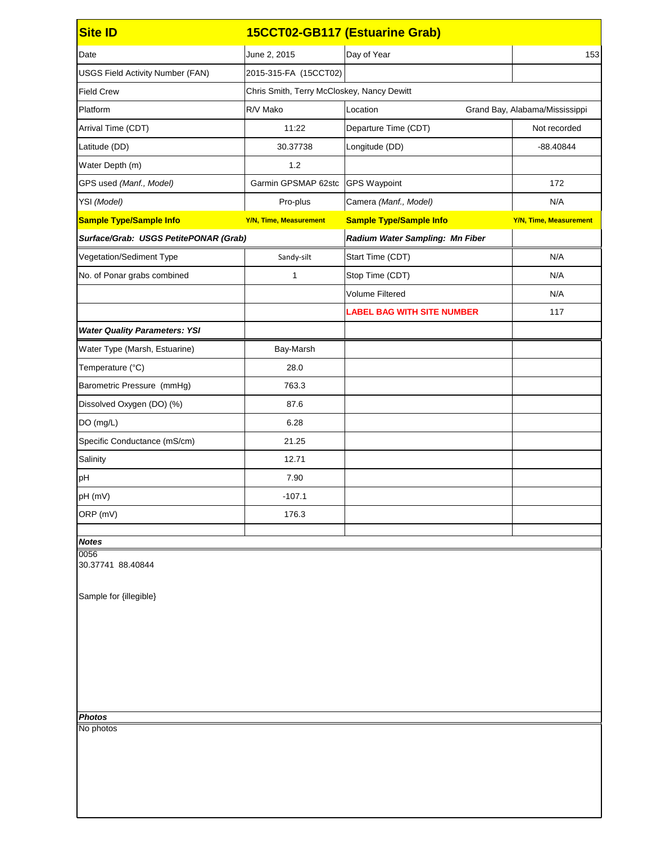| June 2, 2015                          | Day of Year                       | 153                                                                                                 |
|---------------------------------------|-----------------------------------|-----------------------------------------------------------------------------------------------------|
| 2015-315-FA (15CCT02)                 |                                   |                                                                                                     |
|                                       |                                   |                                                                                                     |
| R/V Mako                              | Location                          | Grand Bay, Alabama/Mississippi                                                                      |
| 11:22                                 | Departure Time (CDT)              | Not recorded                                                                                        |
| 30.37738                              | Longitude (DD)                    | -88.40844                                                                                           |
| 1.2                                   |                                   |                                                                                                     |
| Garmin GPSMAP 62stc                   |                                   | 172                                                                                                 |
| Pro-plus                              | Camera (Manf., Model)             | N/A                                                                                                 |
| <b>Y/N, Time, Measurement</b>         | <b>Sample Type/Sample Info</b>    | <b>Y/N, Time, Measurement</b>                                                                       |
| Surface/Grab: USGS PetitePONAR (Grab) | Radium Water Sampling: Mn Fiber   |                                                                                                     |
| Sandy-silt                            | Start Time (CDT)                  | N/A                                                                                                 |
| 1                                     | Stop Time (CDT)                   | N/A                                                                                                 |
|                                       | <b>Volume Filtered</b>            | N/A                                                                                                 |
|                                       | <b>LABEL BAG WITH SITE NUMBER</b> | 117                                                                                                 |
|                                       |                                   |                                                                                                     |
| Bay-Marsh                             |                                   |                                                                                                     |
| 28.0                                  |                                   |                                                                                                     |
| 763.3                                 |                                   |                                                                                                     |
| 87.6                                  |                                   |                                                                                                     |
| 6.28                                  |                                   |                                                                                                     |
| 21.25                                 |                                   |                                                                                                     |
| 12.71                                 |                                   |                                                                                                     |
| 7.90                                  |                                   |                                                                                                     |
| $-107.1$                              |                                   |                                                                                                     |
| 176.3                                 |                                   |                                                                                                     |
|                                       |                                   |                                                                                                     |
|                                       |                                   | 15CCT02-GB117 (Estuarine Grab)<br>Chris Smith, Terry McCloskey, Nancy Dewitt<br><b>GPS Waypoint</b> |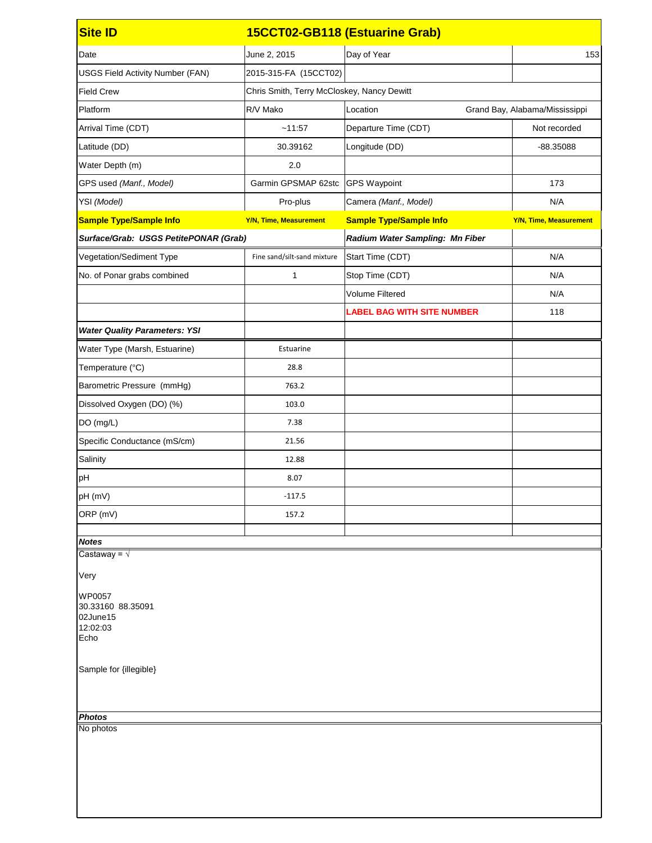| <b>Site ID</b>                                                     |                                            | 15CCT02-GB118 (Estuarine Grab)    |                                |
|--------------------------------------------------------------------|--------------------------------------------|-----------------------------------|--------------------------------|
| Date                                                               | June 2, 2015                               | Day of Year                       | 153                            |
| <b>USGS Field Activity Number (FAN)</b>                            | 2015-315-FA (15CCT02)                      |                                   |                                |
| <b>Field Crew</b>                                                  | Chris Smith, Terry McCloskey, Nancy Dewitt |                                   |                                |
| Platform                                                           | R/V Mako                                   | Location                          | Grand Bay, Alabama/Mississippi |
| Arrival Time (CDT)                                                 | ~11:57                                     | Departure Time (CDT)              | Not recorded                   |
| Latitude (DD)                                                      | 30.39162                                   | Longitude (DD)                    | -88.35088                      |
| Water Depth (m)                                                    | 2.0                                        |                                   |                                |
| GPS used (Manf., Model)                                            | Garmin GPSMAP 62stc                        | <b>GPS Waypoint</b>               | 173                            |
| YSI (Model)                                                        | Pro-plus                                   | Camera (Manf., Model)             | N/A                            |
| <b>Sample Type/Sample Info</b>                                     | <b>Y/N, Time, Measurement</b>              | <b>Sample Type/Sample Info</b>    | <b>Y/N, Time, Measurement</b>  |
| Surface/Grab: USGS PetitePONAR (Grab)                              |                                            | Radium Water Sampling: Mn Fiber   |                                |
| Vegetation/Sediment Type                                           | Fine sand/silt-sand mixture                | Start Time (CDT)                  | N/A                            |
| No. of Ponar grabs combined                                        | 1                                          | Stop Time (CDT)                   | N/A                            |
|                                                                    |                                            | <b>Volume Filtered</b>            | N/A                            |
|                                                                    |                                            | <b>LABEL BAG WITH SITE NUMBER</b> | 118                            |
| <b>Water Quality Parameters: YSI</b>                               |                                            |                                   |                                |
| Water Type (Marsh, Estuarine)                                      | Estuarine                                  |                                   |                                |
| Temperature (°C)                                                   | 28.8                                       |                                   |                                |
| Barometric Pressure (mmHg)                                         | 763.2                                      |                                   |                                |
| Dissolved Oxygen (DO) (%)                                          | 103.0                                      |                                   |                                |
| DO (mg/L)                                                          | 7.38                                       |                                   |                                |
| Specific Conductance (mS/cm)                                       | 21.56                                      |                                   |                                |
| Salinity                                                           | 12.88                                      |                                   |                                |
| pH                                                                 | 8.07                                       |                                   |                                |
| pH (mV)                                                            | $-117.5$                                   |                                   |                                |
| ORP (mV)                                                           | 157.2                                      |                                   |                                |
| <b>Notes</b>                                                       |                                            |                                   |                                |
| Castaway = $\sqrt{ }$                                              |                                            |                                   |                                |
| Very                                                               |                                            |                                   |                                |
| <b>WP0057</b><br>30.33160 88.35091<br>02June15<br>12:02:03<br>Echo |                                            |                                   |                                |
| Sample for {illegible}                                             |                                            |                                   |                                |
| <b>Photos</b><br>No photos                                         |                                            |                                   |                                |
|                                                                    |                                            |                                   |                                |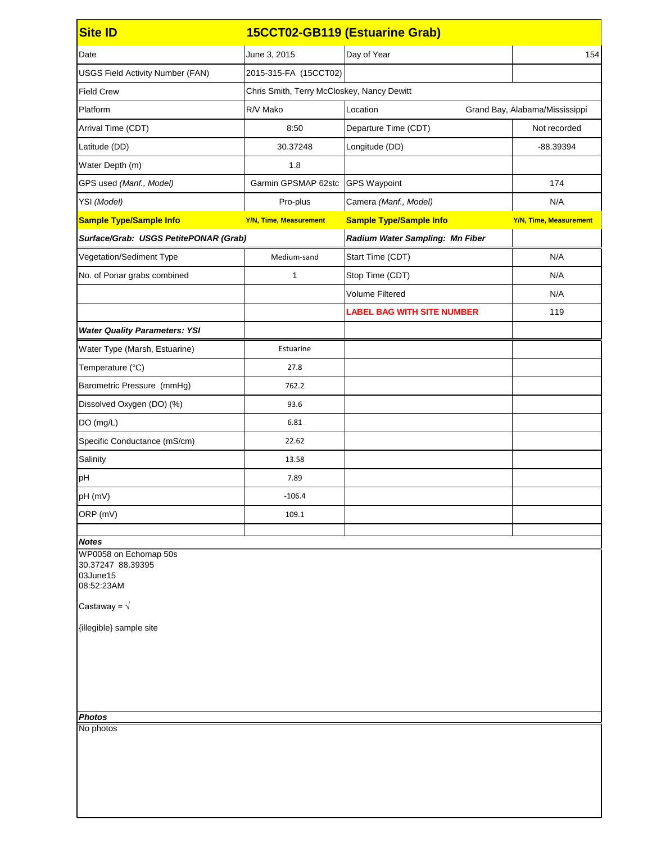| <b>Site ID</b>                                                                                                                                         |                                            | 15CCT02-GB119 (Estuarine Grab)    |                                |
|--------------------------------------------------------------------------------------------------------------------------------------------------------|--------------------------------------------|-----------------------------------|--------------------------------|
| Date                                                                                                                                                   | June 3, 2015                               | Day of Year                       | 154                            |
| <b>USGS Field Activity Number (FAN)</b>                                                                                                                | 2015-315-FA (15CCT02)                      |                                   |                                |
| <b>Field Crew</b>                                                                                                                                      | Chris Smith, Terry McCloskey, Nancy Dewitt |                                   |                                |
| Platform                                                                                                                                               | R/V Mako                                   | Location                          | Grand Bay, Alabama/Mississippi |
| Arrival Time (CDT)                                                                                                                                     | 8:50                                       | Departure Time (CDT)              | Not recorded                   |
| Latitude (DD)                                                                                                                                          | 30.37248                                   | Longitude (DD)                    | -88.39394                      |
| Water Depth (m)                                                                                                                                        | 1.8                                        |                                   |                                |
| GPS used (Manf., Model)                                                                                                                                | Garmin GPSMAP 62stc                        | <b>GPS Waypoint</b>               | 174                            |
| YSI (Model)                                                                                                                                            | Pro-plus                                   | Camera (Manf., Model)             | N/A                            |
| <b>Sample Type/Sample Info</b>                                                                                                                         | <b>Y/N, Time, Measurement</b>              | <b>Sample Type/Sample Info</b>    | <b>Y/N, Time, Measurement</b>  |
| Surface/Grab: USGS PetitePONAR (Grab)                                                                                                                  |                                            | Radium Water Sampling: Mn Fiber   |                                |
| Vegetation/Sediment Type                                                                                                                               | Medium-sand                                | Start Time (CDT)                  | N/A                            |
| No. of Ponar grabs combined                                                                                                                            | 1                                          | Stop Time (CDT)                   | N/A                            |
|                                                                                                                                                        |                                            | <b>Volume Filtered</b>            | N/A                            |
|                                                                                                                                                        |                                            | <b>LABEL BAG WITH SITE NUMBER</b> | 119                            |
| <b>Water Quality Parameters: YSI</b>                                                                                                                   |                                            |                                   |                                |
| Water Type (Marsh, Estuarine)                                                                                                                          | Estuarine                                  |                                   |                                |
| Temperature (°C)                                                                                                                                       | 27.8                                       |                                   |                                |
| Barometric Pressure (mmHg)                                                                                                                             | 762.2                                      |                                   |                                |
| Dissolved Oxygen (DO) (%)                                                                                                                              | 93.6                                       |                                   |                                |
| DO (mg/L)                                                                                                                                              | 6.81                                       |                                   |                                |
| Specific Conductance (mS/cm)                                                                                                                           | 22.62                                      |                                   |                                |
| Salinity                                                                                                                                               | 13.58                                      |                                   |                                |
| pH                                                                                                                                                     | 7.89                                       |                                   |                                |
| pH (mV)                                                                                                                                                | $-106.4$                                   |                                   |                                |
| ORP (mV)                                                                                                                                               | 109.1                                      |                                   |                                |
| <b>Notes</b>                                                                                                                                           |                                            |                                   |                                |
| WP0058 on Echomap 50s<br>30.37247 88.39395<br>03June15<br>08:52:23AM<br>Castaway = $\sqrt{ }$<br>{illegible} sample site<br><b>Photos</b><br>No photos |                                            |                                   |                                |
|                                                                                                                                                        |                                            |                                   |                                |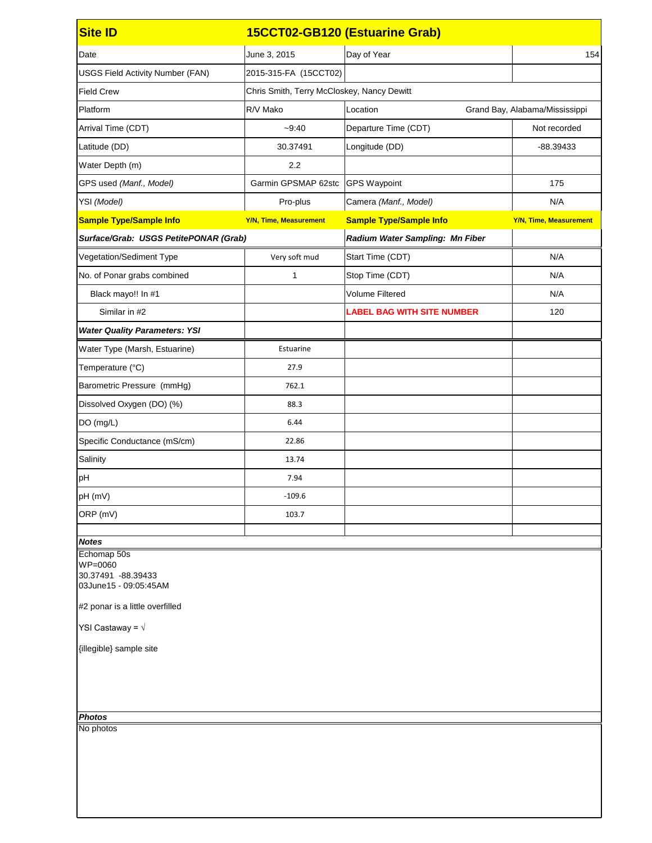| June 3, 2015                          | Day of Year                       | 154                                                                          |
|---------------------------------------|-----------------------------------|------------------------------------------------------------------------------|
| 2015-315-FA (15CCT02)                 |                                   |                                                                              |
|                                       |                                   |                                                                              |
| R/V Mako                              | Location                          | Grand Bay, Alabama/Mississippi                                               |
| $-9:40$                               | Departure Time (CDT)              | Not recorded                                                                 |
| 30.37491                              | Longitude (DD)                    | -88.39433                                                                    |
| 2.2                                   |                                   |                                                                              |
| Garmin GPSMAP 62stc                   | <b>GPS Waypoint</b>               | 175                                                                          |
| Pro-plus                              | Camera (Manf., Model)             | N/A                                                                          |
| <b>Y/N, Time, Measurement</b>         | <b>Sample Type/Sample Info</b>    | <b>Y/N, Time, Measurement</b>                                                |
| Surface/Grab: USGS PetitePONAR (Grab) | Radium Water Sampling: Mn Fiber   |                                                                              |
| Very soft mud                         | Start Time (CDT)                  | N/A                                                                          |
| 1                                     | Stop Time (CDT)                   | N/A                                                                          |
|                                       | <b>Volume Filtered</b>            | N/A                                                                          |
|                                       | <b>LABEL BAG WITH SITE NUMBER</b> | 120                                                                          |
|                                       |                                   |                                                                              |
| Estuarine                             |                                   |                                                                              |
| 27.9                                  |                                   |                                                                              |
| 762.1                                 |                                   |                                                                              |
| 88.3                                  |                                   |                                                                              |
| 6.44                                  |                                   |                                                                              |
| 22.86                                 |                                   |                                                                              |
| 13.74                                 |                                   |                                                                              |
| 7.94                                  |                                   |                                                                              |
| $-109.6$                              |                                   |                                                                              |
| 103.7                                 |                                   |                                                                              |
|                                       |                                   |                                                                              |
|                                       |                                   |                                                                              |
|                                       |                                   | 15CCT02-GB120 (Estuarine Grab)<br>Chris Smith, Terry McCloskey, Nancy Dewitt |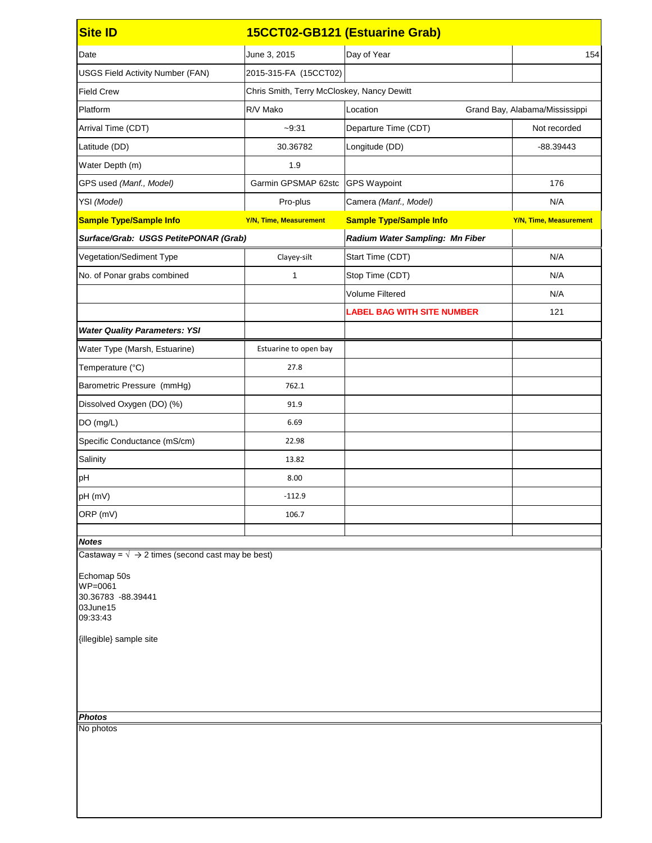| <b>Site ID</b>                                                                                                                |                                            | 15CCT02-GB121 (Estuarine Grab)    |                                |
|-------------------------------------------------------------------------------------------------------------------------------|--------------------------------------------|-----------------------------------|--------------------------------|
| Date                                                                                                                          | June 3, 2015                               | Day of Year                       | 154                            |
| <b>USGS Field Activity Number (FAN)</b>                                                                                       | 2015-315-FA (15CCT02)                      |                                   |                                |
| <b>Field Crew</b>                                                                                                             | Chris Smith, Terry McCloskey, Nancy Dewitt |                                   |                                |
| Platform                                                                                                                      | R/V Mako                                   | Location                          | Grand Bay, Alabama/Mississippi |
| Arrival Time (CDT)                                                                                                            | $-9:31$                                    | Departure Time (CDT)              | Not recorded                   |
| Latitude (DD)                                                                                                                 | 30.36782                                   | Longitude (DD)                    | $-88.39443$                    |
| Water Depth (m)                                                                                                               | 1.9                                        |                                   |                                |
| GPS used (Manf., Model)                                                                                                       | Garmin GPSMAP 62stc                        | <b>GPS Waypoint</b>               | 176                            |
| YSI (Model)                                                                                                                   | Pro-plus                                   | Camera (Manf., Model)             | N/A                            |
| <b>Sample Type/Sample Info</b>                                                                                                | <b>Y/N, Time, Measurement</b>              | <b>Sample Type/Sample Info</b>    | <b>Y/N, Time, Measurement</b>  |
| Surface/Grab: USGS PetitePONAR (Grab)                                                                                         |                                            | Radium Water Sampling: Mn Fiber   |                                |
| Vegetation/Sediment Type                                                                                                      | Clayey-silt                                | Start Time (CDT)                  | N/A                            |
| No. of Ponar grabs combined                                                                                                   | 1                                          | Stop Time (CDT)                   | N/A                            |
|                                                                                                                               |                                            | <b>Volume Filtered</b>            | N/A                            |
|                                                                                                                               |                                            | <b>LABEL BAG WITH SITE NUMBER</b> | 121                            |
| <b>Water Quality Parameters: YSI</b>                                                                                          |                                            |                                   |                                |
| Water Type (Marsh, Estuarine)                                                                                                 | Estuarine to open bay                      |                                   |                                |
| Temperature (°C)                                                                                                              | 27.8                                       |                                   |                                |
| Barometric Pressure (mmHg)                                                                                                    | 762.1                                      |                                   |                                |
| Dissolved Oxygen (DO) (%)                                                                                                     | 91.9                                       |                                   |                                |
| DO (mg/L)                                                                                                                     | 6.69                                       |                                   |                                |
| Specific Conductance (mS/cm)                                                                                                  | 22.98                                      |                                   |                                |
| Salinity                                                                                                                      | 13.82                                      |                                   |                                |
| <b>pH</b>                                                                                                                     | 8.00                                       |                                   |                                |
| pH (mV)                                                                                                                       | $-112.9$                                   |                                   |                                |
| ORP (mV)                                                                                                                      | 106.7                                      |                                   |                                |
|                                                                                                                               |                                            |                                   |                                |
| <b>Notes</b><br>Castaway = $\sqrt{ } \rightarrow 2$ times (second cast may be best)                                           |                                            |                                   |                                |
| Echomap 50s<br>WP=0061<br>30.36783 -88.39441<br>03June15<br>09:33:43<br>{illegible} sample site<br><b>Photos</b><br>No photos |                                            |                                   |                                |
|                                                                                                                               |                                            |                                   |                                |
|                                                                                                                               |                                            |                                   |                                |
|                                                                                                                               |                                            |                                   |                                |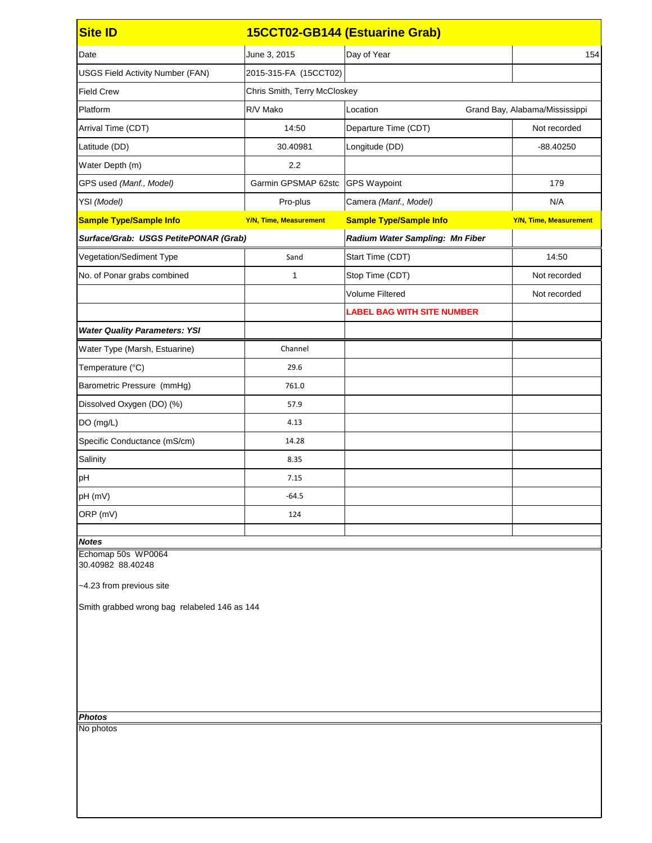| <b>Site ID</b>                               |                               | 15CCT02-GB144 (Estuarine Grab)    |                                |
|----------------------------------------------|-------------------------------|-----------------------------------|--------------------------------|
| Date                                         | June 3, 2015                  | Day of Year                       | 154                            |
| <b>USGS Field Activity Number (FAN)</b>      | 2015-315-FA (15CCT02)         |                                   |                                |
| <b>Field Crew</b>                            | Chris Smith, Terry McCloskey  |                                   |                                |
| Platform                                     | R/V Mako                      | Location                          | Grand Bay, Alabama/Mississippi |
| Arrival Time (CDT)                           | 14:50                         | Departure Time (CDT)              | Not recorded                   |
| Latitude (DD)                                | 30.40981                      | Longitude (DD)                    | $-88.40250$                    |
| Water Depth (m)                              | 2.2                           |                                   |                                |
| GPS used (Manf., Model)                      | Garmin GPSMAP 62stc           | <b>GPS Waypoint</b>               | 179                            |
| YSI (Model)                                  | Pro-plus                      | Camera (Manf., Model)             | N/A                            |
| <b>Sample Type/Sample Info</b>               | <b>Y/N, Time, Measurement</b> | <b>Sample Type/Sample Info</b>    | <b>Y/N, Time, Measurement</b>  |
| Surface/Grab: USGS PetitePONAR (Grab)        |                               | Radium Water Sampling: Mn Fiber   |                                |
| Vegetation/Sediment Type                     | Sand                          | Start Time (CDT)                  | 14:50                          |
| No. of Ponar grabs combined                  | 1                             | Stop Time (CDT)                   | Not recorded                   |
|                                              |                               | <b>Volume Filtered</b>            | Not recorded                   |
|                                              |                               | <b>LABEL BAG WITH SITE NUMBER</b> |                                |
| <b>Water Quality Parameters: YSI</b>         |                               |                                   |                                |
| Water Type (Marsh, Estuarine)                | Channel                       |                                   |                                |
| Temperature (°C)                             | 29.6                          |                                   |                                |
| Barometric Pressure (mmHg)                   | 761.0                         |                                   |                                |
| Dissolved Oxygen (DO) (%)                    | 57.9                          |                                   |                                |
| DO (mg/L)                                    | 4.13                          |                                   |                                |
| Specific Conductance (mS/cm)                 | 14.28                         |                                   |                                |
| Salinity                                     | 8.35                          |                                   |                                |
| pH                                           | 7.15                          |                                   |                                |
| pH (mV)                                      | $-64.5$                       |                                   |                                |
| ORP (mV)                                     | 124                           |                                   |                                |
| <b>Notes</b>                                 |                               |                                   |                                |
| Echomap 50s WP0064<br>30.40982 88.40248      |                               |                                   |                                |
| ~4.23 from previous site                     |                               |                                   |                                |
| Smith grabbed wrong bag relabeled 146 as 144 |                               |                                   |                                |
|                                              |                               |                                   |                                |
|                                              |                               |                                   |                                |
|                                              |                               |                                   |                                |
|                                              |                               |                                   |                                |
|                                              |                               |                                   |                                |
| <b>Photos</b>                                |                               |                                   |                                |
| No photos                                    |                               |                                   |                                |
|                                              |                               |                                   |                                |
|                                              |                               |                                   |                                |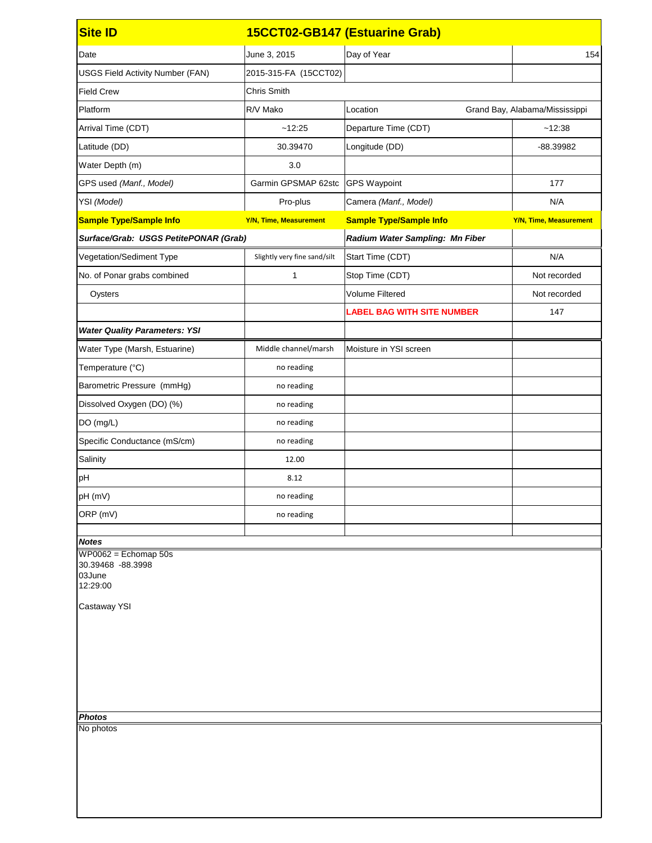| <b>Site ID</b>                                                                                                                         |                               | 15CCT02-GB147 (Estuarine Grab)    |                                |
|----------------------------------------------------------------------------------------------------------------------------------------|-------------------------------|-----------------------------------|--------------------------------|
| Date                                                                                                                                   | June 3, 2015                  | Day of Year                       | 154                            |
| <b>USGS Field Activity Number (FAN)</b>                                                                                                | 2015-315-FA (15CCT02)         |                                   |                                |
| <b>Field Crew</b>                                                                                                                      | <b>Chris Smith</b>            |                                   |                                |
| Platform                                                                                                                               | R/V Mako                      | Location                          | Grand Bay, Alabama/Mississippi |
| Arrival Time (CDT)                                                                                                                     | ~12:25                        | Departure Time (CDT)              | ~12:38                         |
| Latitude (DD)                                                                                                                          | 30.39470                      | Longitude (DD)                    | -88.39982                      |
| Water Depth (m)                                                                                                                        | 3.0                           |                                   |                                |
| GPS used (Manf., Model)                                                                                                                | Garmin GPSMAP 62stc           | <b>GPS Waypoint</b>               | 177                            |
| YSI (Model)                                                                                                                            | Pro-plus                      | Camera (Manf., Model)             | N/A                            |
| <b>Sample Type/Sample Info</b>                                                                                                         | <b>Y/N, Time, Measurement</b> | <b>Sample Type/Sample Info</b>    | <b>Y/N, Time, Measurement</b>  |
| Surface/Grab: USGS PetitePONAR (Grab)                                                                                                  |                               | Radium Water Sampling: Mn Fiber   |                                |
| Vegetation/Sediment Type                                                                                                               | Slightly very fine sand/silt  | Start Time (CDT)                  | N/A                            |
| No. of Ponar grabs combined                                                                                                            | 1                             | Stop Time (CDT)                   | Not recorded                   |
| Oysters                                                                                                                                |                               | <b>Volume Filtered</b>            | Not recorded                   |
|                                                                                                                                        |                               | <b>LABEL BAG WITH SITE NUMBER</b> | 147                            |
| <b>Water Quality Parameters: YSI</b>                                                                                                   |                               |                                   |                                |
| Water Type (Marsh, Estuarine)                                                                                                          | Middle channel/marsh          | Moisture in YSI screen            |                                |
| Temperature (°C)                                                                                                                       | no reading                    |                                   |                                |
| Barometric Pressure (mmHg)                                                                                                             | no reading                    |                                   |                                |
| Dissolved Oxygen (DO) (%)                                                                                                              | no reading                    |                                   |                                |
| DO (mg/L)                                                                                                                              | no reading                    |                                   |                                |
| Specific Conductance (mS/cm)                                                                                                           | no reading                    |                                   |                                |
| Salinity                                                                                                                               | 12.00                         |                                   |                                |
| pH                                                                                                                                     | 8.12                          |                                   |                                |
| pH (mV)                                                                                                                                | no reading                    |                                   |                                |
| ORP (mV)                                                                                                                               | no reading                    |                                   |                                |
| <b>Notes</b><br>$WP0062 = Echomap 50s$<br>30.39468 -88.3998<br>03June<br>12:29:00<br><b>Castaway YSI</b><br><b>Photos</b><br>No photos |                               |                                   |                                |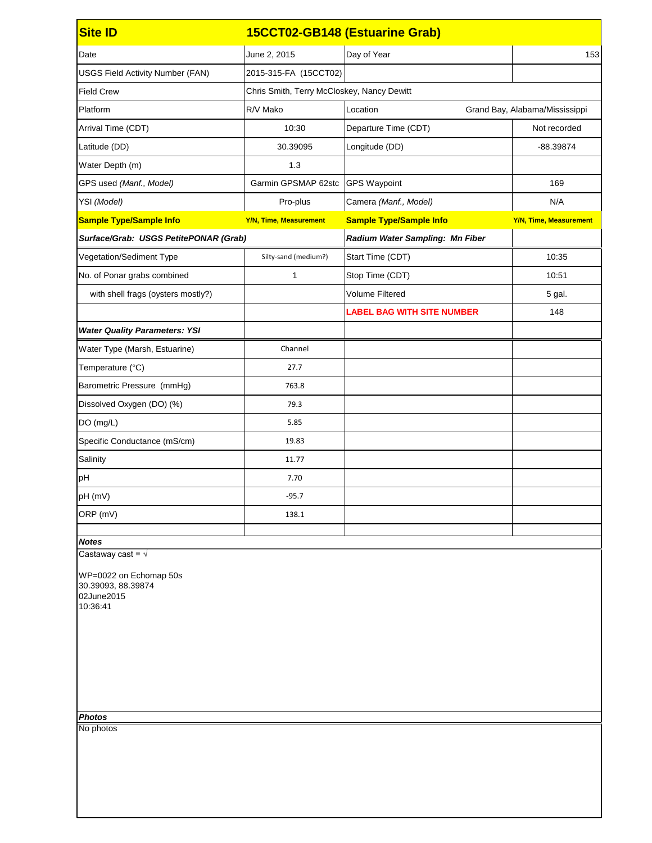| <b>Site ID</b>                                                         |                                            | 15CCT02-GB148 (Estuarine Grab)    |                                |
|------------------------------------------------------------------------|--------------------------------------------|-----------------------------------|--------------------------------|
| Date                                                                   | June 2, 2015                               | Day of Year                       | 153                            |
| <b>USGS Field Activity Number (FAN)</b>                                | 2015-315-FA (15CCT02)                      |                                   |                                |
| <b>Field Crew</b>                                                      | Chris Smith, Terry McCloskey, Nancy Dewitt |                                   |                                |
| Platform                                                               | R/V Mako                                   | Location                          | Grand Bay, Alabama/Mississippi |
| Arrival Time (CDT)                                                     | 10:30                                      | Departure Time (CDT)              | Not recorded                   |
| Latitude (DD)                                                          | 30.39095                                   | Longitude (DD)                    | -88.39874                      |
| Water Depth (m)                                                        | 1.3                                        |                                   |                                |
| GPS used (Manf., Model)                                                | Garmin GPSMAP 62stc                        | <b>GPS Waypoint</b>               | 169                            |
| YSI (Model)                                                            | Pro-plus                                   | Camera (Manf., Model)             | N/A                            |
| <b>Sample Type/Sample Info</b>                                         | <b>Y/N, Time, Measurement</b>              | <b>Sample Type/Sample Info</b>    | <b>Y/N, Time, Measurement</b>  |
| Surface/Grab: USGS PetitePONAR (Grab)                                  |                                            | Radium Water Sampling: Mn Fiber   |                                |
| Vegetation/Sediment Type                                               | Silty-sand (medium?)                       | Start Time (CDT)                  | 10:35                          |
| No. of Ponar grabs combined                                            | 1                                          | Stop Time (CDT)                   | 10:51                          |
| with shell frags (oysters mostly?)                                     |                                            | <b>Volume Filtered</b>            | 5 gal.                         |
|                                                                        |                                            | <b>LABEL BAG WITH SITE NUMBER</b> | 148                            |
| <b>Water Quality Parameters: YSI</b>                                   |                                            |                                   |                                |
| Water Type (Marsh, Estuarine)                                          | Channel                                    |                                   |                                |
| Temperature (°C)                                                       | 27.7                                       |                                   |                                |
| Barometric Pressure (mmHg)                                             | 763.8                                      |                                   |                                |
| Dissolved Oxygen (DO) (%)                                              | 79.3                                       |                                   |                                |
| DO (mg/L)                                                              | 5.85                                       |                                   |                                |
| Specific Conductance (mS/cm)                                           | 19.83                                      |                                   |                                |
| Salinity                                                               | 11.77                                      |                                   |                                |
| pH                                                                     | 7.70                                       |                                   |                                |
| pH (mV)                                                                | $-95.7$                                    |                                   |                                |
| ORP (mV)                                                               | 138.1                                      |                                   |                                |
| <b>Notes</b>                                                           |                                            |                                   |                                |
| Castaway cast = $\sqrt{ }$                                             |                                            |                                   |                                |
| WP=0022 on Echomap 50s<br>30.39093, 88.39874<br>02June2015<br>10:36:41 |                                            |                                   |                                |
| <b>Photos</b>                                                          |                                            |                                   |                                |
| No photos                                                              |                                            |                                   |                                |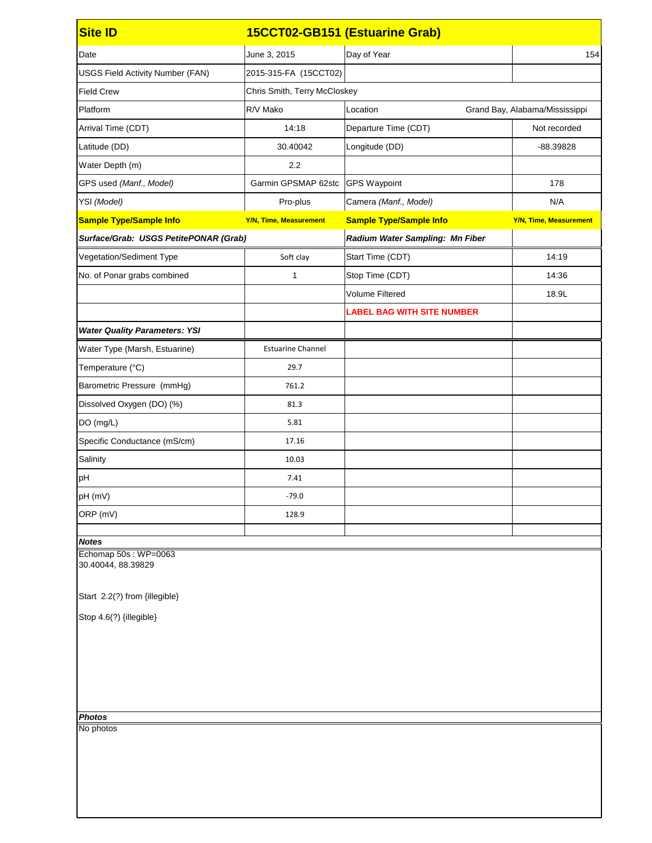| <b>Site ID</b>                                                              |                               | 15CCT02-GB151 (Estuarine Grab)    |                                |  |
|-----------------------------------------------------------------------------|-------------------------------|-----------------------------------|--------------------------------|--|
| Date                                                                        | June 3, 2015                  | Day of Year                       | 154                            |  |
| <b>USGS Field Activity Number (FAN)</b>                                     | 2015-315-FA (15CCT02)         |                                   |                                |  |
| <b>Field Crew</b>                                                           | Chris Smith, Terry McCloskey  |                                   |                                |  |
| Platform                                                                    | R/V Mako                      | Location                          | Grand Bay, Alabama/Mississippi |  |
| Arrival Time (CDT)                                                          | 14:18                         | Departure Time (CDT)              | Not recorded                   |  |
| Latitude (DD)                                                               | 30.40042                      | Longitude (DD)                    | -88.39828                      |  |
| Water Depth (m)                                                             | 2.2                           |                                   |                                |  |
| GPS used (Manf., Model)                                                     | Garmin GPSMAP 62stc           | <b>GPS Waypoint</b>               | 178                            |  |
| YSI (Model)                                                                 | Pro-plus                      | Camera (Manf., Model)             | N/A                            |  |
| <b>Sample Type/Sample Info</b>                                              | <b>Y/N, Time, Measurement</b> | <b>Sample Type/Sample Info</b>    | <b>Y/N, Time, Measurement</b>  |  |
| Surface/Grab: USGS PetitePONAR (Grab)                                       |                               | Radium Water Sampling: Mn Fiber   |                                |  |
| Vegetation/Sediment Type                                                    | Soft clay                     | Start Time (CDT)                  | 14:19                          |  |
| No. of Ponar grabs combined                                                 | 1                             | Stop Time (CDT)                   | 14:36                          |  |
|                                                                             |                               | <b>Volume Filtered</b>            | 18.9L                          |  |
|                                                                             |                               | <b>LABEL BAG WITH SITE NUMBER</b> |                                |  |
| <b>Water Quality Parameters: YSI</b>                                        |                               |                                   |                                |  |
| Water Type (Marsh, Estuarine)                                               | <b>Estuarine Channel</b>      |                                   |                                |  |
| Temperature (°C)                                                            | 29.7                          |                                   |                                |  |
| Barometric Pressure (mmHg)                                                  | 761.2                         |                                   |                                |  |
| Dissolved Oxygen (DO) (%)                                                   | 81.3                          |                                   |                                |  |
| DO (mg/L)                                                                   | 5.81                          |                                   |                                |  |
| Specific Conductance (mS/cm)                                                | 17.16                         |                                   |                                |  |
| Salinity                                                                    | 10.03                         |                                   |                                |  |
| pH                                                                          | 7.41                          |                                   |                                |  |
| pH (mV)                                                                     | $-79.0$                       |                                   |                                |  |
| ORP (mV)                                                                    | 128.9                         |                                   |                                |  |
| <b>Notes</b>                                                                |                               |                                   |                                |  |
| Echomap 50s: WP=0063<br>30.40044, 88.39829<br>Start 2.2(?) from {illegible} |                               |                                   |                                |  |
| Stop 4.6(?) {illegible}                                                     |                               |                                   |                                |  |
|                                                                             |                               |                                   |                                |  |
|                                                                             |                               |                                   |                                |  |
| <b>Photos</b>                                                               |                               |                                   |                                |  |
| No photos                                                                   |                               |                                   |                                |  |
|                                                                             |                               |                                   |                                |  |
|                                                                             |                               |                                   |                                |  |
|                                                                             |                               |                                   |                                |  |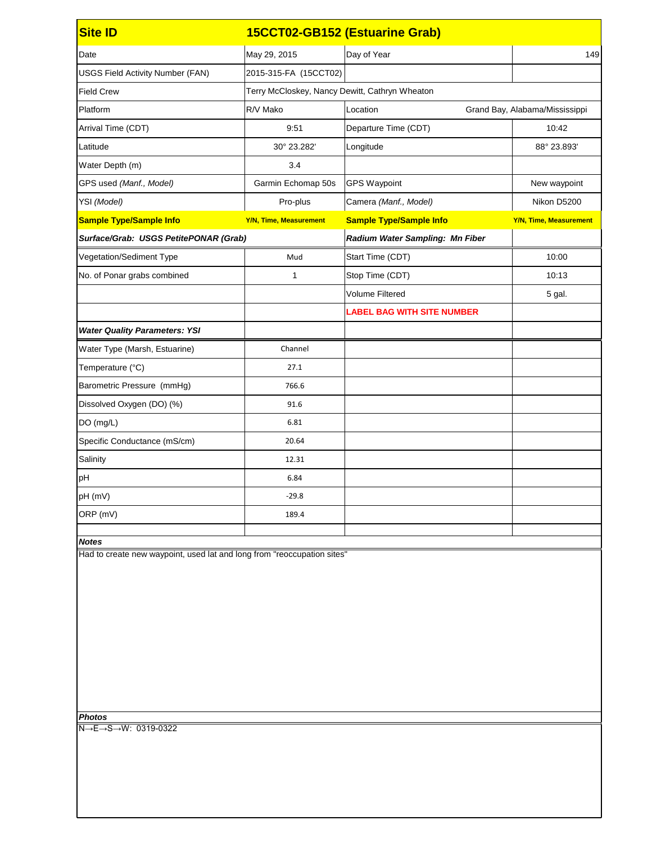| <b>Site ID</b>                                                             | 15CCT02-GB152 (Estuarine Grab)                 |                                   |                                |
|----------------------------------------------------------------------------|------------------------------------------------|-----------------------------------|--------------------------------|
| Date                                                                       | May 29, 2015                                   | Day of Year                       | 149                            |
| <b>USGS Field Activity Number (FAN)</b>                                    | 2015-315-FA (15CCT02)                          |                                   |                                |
| <b>Field Crew</b>                                                          | Terry McCloskey, Nancy Dewitt, Cathryn Wheaton |                                   |                                |
| Platform                                                                   | R/V Mako                                       | Location                          | Grand Bay, Alabama/Mississippi |
| Arrival Time (CDT)                                                         | 9:51                                           | Departure Time (CDT)              | 10:42                          |
| Latitude                                                                   | 30° 23.282'                                    | Longitude                         | 88° 23.893'                    |
| Water Depth (m)                                                            | 3.4                                            |                                   |                                |
| GPS used (Manf., Model)                                                    | Garmin Echomap 50s                             | <b>GPS Waypoint</b>               | New waypoint                   |
| YSI (Model)                                                                | Pro-plus                                       | Camera (Manf., Model)             | Nikon D5200                    |
| <b>Sample Type/Sample Info</b>                                             | <b>Y/N, Time, Measurement</b>                  | <b>Sample Type/Sample Info</b>    | <b>Y/N, Time, Measurement</b>  |
| Surface/Grab: USGS PetitePONAR (Grab)                                      |                                                | Radium Water Sampling: Mn Fiber   |                                |
| Vegetation/Sediment Type                                                   | Mud                                            | Start Time (CDT)                  | 10:00                          |
| No. of Ponar grabs combined                                                | 1                                              | Stop Time (CDT)                   | 10:13                          |
|                                                                            |                                                | <b>Volume Filtered</b>            | 5 gal.                         |
|                                                                            |                                                | <b>LABEL BAG WITH SITE NUMBER</b> |                                |
| <b>Water Quality Parameters: YSI</b>                                       |                                                |                                   |                                |
| Water Type (Marsh, Estuarine)                                              | Channel                                        |                                   |                                |
| Temperature (°C)                                                           | 27.1                                           |                                   |                                |
| Barometric Pressure (mmHg)                                                 | 766.6                                          |                                   |                                |
| Dissolved Oxygen (DO) (%)                                                  | 91.6                                           |                                   |                                |
| DO (mg/L)                                                                  | 6.81                                           |                                   |                                |
| Specific Conductance (mS/cm)                                               | 20.64                                          |                                   |                                |
| Salinity                                                                   | 12.31                                          |                                   |                                |
| pH                                                                         | 6.84                                           |                                   |                                |
| pH (mV)                                                                    | $-29.8$                                        |                                   |                                |
| ORP (mV)                                                                   | 189.4                                          |                                   |                                |
| <b>Notes</b>                                                               |                                                |                                   |                                |
| Had to create new waypoint, used lat and long from "reoccupation sites"    |                                                |                                   |                                |
| <b>Photos</b><br>$N \rightarrow E \rightarrow S \rightarrow W$ : 0319-0322 |                                                |                                   |                                |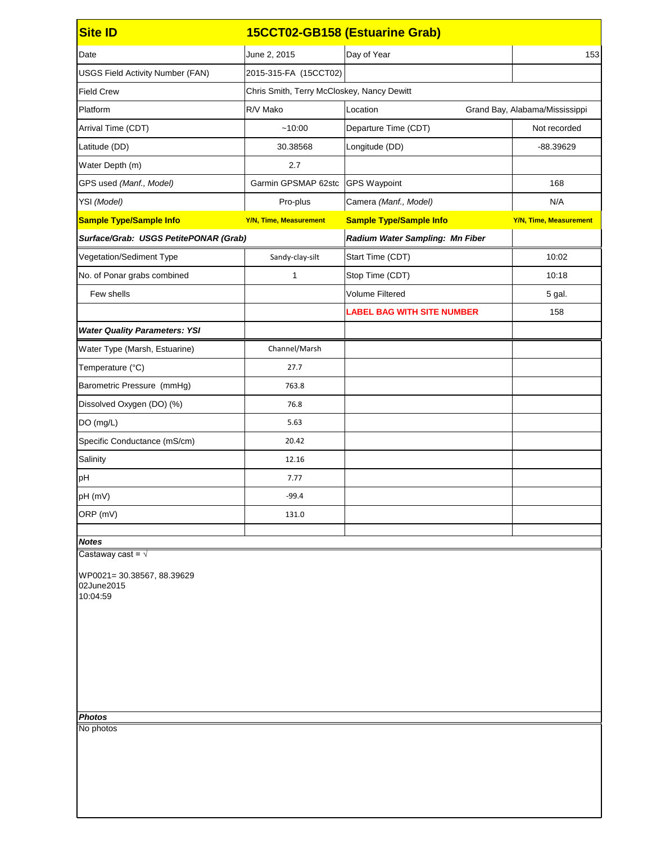| <b>Site ID</b>                                                                    | 15CCT02-GB158 (Estuarine Grab)             |                                   |                                |
|-----------------------------------------------------------------------------------|--------------------------------------------|-----------------------------------|--------------------------------|
| Date                                                                              | June 2, 2015                               | Day of Year                       | 153                            |
| <b>USGS Field Activity Number (FAN)</b>                                           | 2015-315-FA (15CCT02)                      |                                   |                                |
| <b>Field Crew</b>                                                                 | Chris Smith, Terry McCloskey, Nancy Dewitt |                                   |                                |
| Platform                                                                          | R/V Mako                                   | Location                          | Grand Bay, Alabama/Mississippi |
| Arrival Time (CDT)                                                                | ~10:00                                     | Departure Time (CDT)              | Not recorded                   |
| Latitude (DD)                                                                     | 30.38568                                   | Longitude (DD)                    | -88.39629                      |
| Water Depth (m)                                                                   | 2.7                                        |                                   |                                |
| GPS used (Manf., Model)                                                           | Garmin GPSMAP 62stc                        | <b>GPS Waypoint</b>               | 168                            |
| YSI (Model)                                                                       | Pro-plus                                   | Camera (Manf., Model)             | N/A                            |
| <b>Sample Type/Sample Info</b>                                                    | <b>Y/N, Time, Measurement</b>              | <b>Sample Type/Sample Info</b>    | <b>Y/N, Time, Measurement</b>  |
| Surface/Grab: USGS PetitePONAR (Grab)                                             |                                            | Radium Water Sampling: Mn Fiber   |                                |
| Vegetation/Sediment Type                                                          | Sandy-clay-silt                            | Start Time (CDT)                  | 10:02                          |
| No. of Ponar grabs combined                                                       | 1                                          | Stop Time (CDT)                   | 10:18                          |
| Few shells                                                                        |                                            | <b>Volume Filtered</b>            | 5 gal.                         |
|                                                                                   |                                            | <b>LABEL BAG WITH SITE NUMBER</b> | 158                            |
| <b>Water Quality Parameters: YSI</b>                                              |                                            |                                   |                                |
| Water Type (Marsh, Estuarine)                                                     | Channel/Marsh                              |                                   |                                |
| Temperature (°C)                                                                  | 27.7                                       |                                   |                                |
| Barometric Pressure (mmHg)                                                        | 763.8                                      |                                   |                                |
| Dissolved Oxygen (DO) (%)                                                         | 76.8                                       |                                   |                                |
| DO (mg/L)                                                                         | 5.63                                       |                                   |                                |
| Specific Conductance (mS/cm)                                                      | 20.42                                      |                                   |                                |
| Salinity                                                                          | 12.16                                      |                                   |                                |
| pH                                                                                | 7.77                                       |                                   |                                |
| pH (mV)                                                                           | $-99.4$                                    |                                   |                                |
| ORP (mV)                                                                          | 131.0                                      |                                   |                                |
|                                                                                   |                                            |                                   |                                |
| <b>Notes</b><br>Castaway cast = $\sqrt{ }$                                        |                                            |                                   |                                |
| WP0021=30.38567, 88.39629<br>02June2015<br>10:04:59<br><b>Photos</b><br>No photos |                                            |                                   |                                |
|                                                                                   |                                            |                                   |                                |
|                                                                                   |                                            |                                   |                                |
|                                                                                   |                                            |                                   |                                |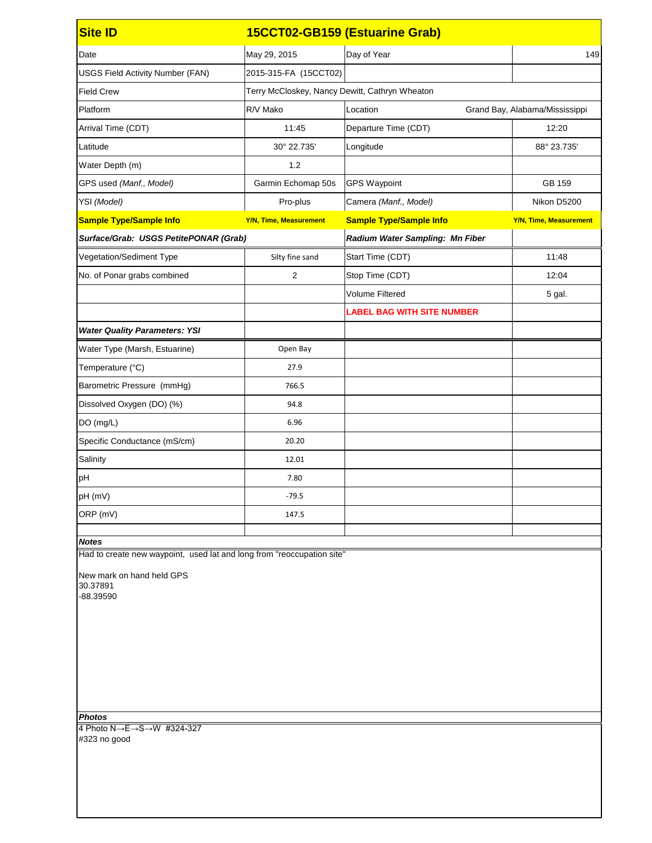| <b>Site ID</b>                                                                                                                                        |                                                | 15CCT02-GB159 (Estuarine Grab)    |                                |  |
|-------------------------------------------------------------------------------------------------------------------------------------------------------|------------------------------------------------|-----------------------------------|--------------------------------|--|
| Date                                                                                                                                                  | May 29, 2015                                   | Day of Year                       | 149                            |  |
| <b>USGS Field Activity Number (FAN)</b>                                                                                                               | 2015-315-FA (15CCT02)                          |                                   |                                |  |
| <b>Field Crew</b>                                                                                                                                     | Terry McCloskey, Nancy Dewitt, Cathryn Wheaton |                                   |                                |  |
| Platform                                                                                                                                              | R/V Mako                                       | Location                          | Grand Bay, Alabama/Mississippi |  |
| Arrival Time (CDT)                                                                                                                                    | 11:45                                          | Departure Time (CDT)              | 12:20                          |  |
| Latitude                                                                                                                                              | 30° 22.735'                                    | Longitude                         | 88° 23.735'                    |  |
| Water Depth (m)                                                                                                                                       | 1.2                                            |                                   |                                |  |
| GPS used (Manf., Model)                                                                                                                               | Garmin Echomap 50s                             | <b>GPS Waypoint</b>               | GB 159                         |  |
| YSI (Model)                                                                                                                                           | Pro-plus                                       | Camera (Manf., Model)             | Nikon D5200                    |  |
| <b>Sample Type/Sample Info</b>                                                                                                                        | <b>Y/N, Time, Measurement</b>                  | <b>Sample Type/Sample Info</b>    | <b>Y/N, Time, Measurement</b>  |  |
| Surface/Grab: USGS PetitePONAR (Grab)                                                                                                                 |                                                | Radium Water Sampling: Mn Fiber   |                                |  |
| Vegetation/Sediment Type                                                                                                                              | Silty fine sand                                | Start Time (CDT)                  | 11:48                          |  |
| No. of Ponar grabs combined                                                                                                                           | $\overline{2}$                                 | Stop Time (CDT)                   | 12:04                          |  |
|                                                                                                                                                       |                                                | <b>Volume Filtered</b>            | 5 gal.                         |  |
|                                                                                                                                                       |                                                | <b>LABEL BAG WITH SITE NUMBER</b> |                                |  |
| <b>Water Quality Parameters: YSI</b>                                                                                                                  |                                                |                                   |                                |  |
| Water Type (Marsh, Estuarine)                                                                                                                         | Open Bay                                       |                                   |                                |  |
| Temperature (°C)                                                                                                                                      | 27.9                                           |                                   |                                |  |
| Barometric Pressure (mmHg)                                                                                                                            | 766.5                                          |                                   |                                |  |
| Dissolved Oxygen (DO) (%)                                                                                                                             | 94.8                                           |                                   |                                |  |
| DO (mg/L)                                                                                                                                             | 6.96                                           |                                   |                                |  |
| Specific Conductance (mS/cm)                                                                                                                          | 20.20                                          |                                   |                                |  |
| Salinity                                                                                                                                              | 12.01                                          |                                   |                                |  |
| pH                                                                                                                                                    | 7.80                                           |                                   |                                |  |
| pH (mV)                                                                                                                                               | $-79.5$                                        |                                   |                                |  |
| ORP (mV)                                                                                                                                              | 147.5                                          |                                   |                                |  |
| <b>Notes</b>                                                                                                                                          |                                                |                                   |                                |  |
| Had to create new waypoint, used lat and long from "reoccupation site"                                                                                |                                                |                                   |                                |  |
| New mark on hand held GPS<br>30.37891<br>-88.39590<br><b>Photos</b><br>4 Photo $N \rightarrow E \rightarrow S \rightarrow W$ #324-327<br>#323 no good |                                                |                                   |                                |  |
|                                                                                                                                                       |                                                |                                   |                                |  |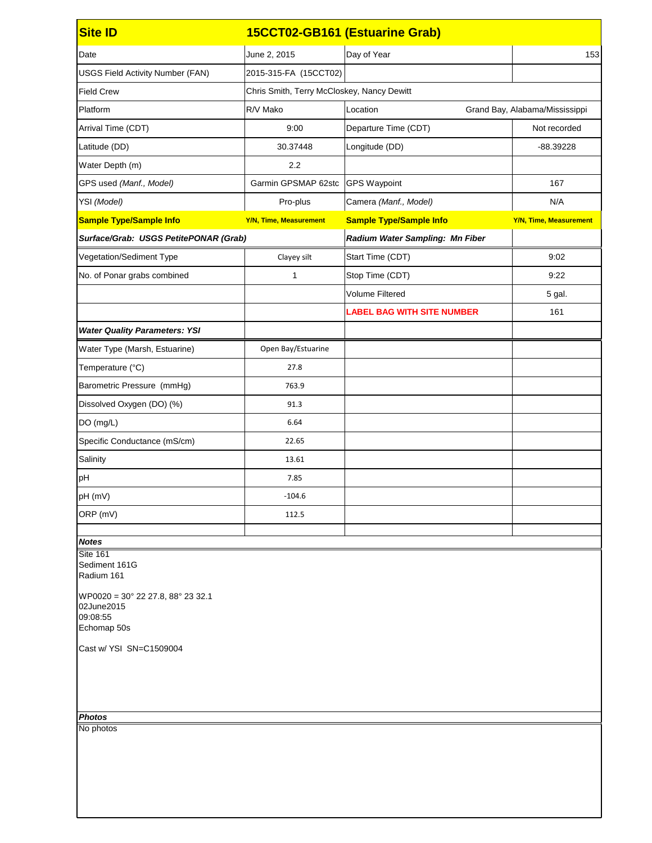| <b>Site ID</b>                                                                             |                                            | 15CCT02-GB161 (Estuarine Grab)    |                                |
|--------------------------------------------------------------------------------------------|--------------------------------------------|-----------------------------------|--------------------------------|
| Date                                                                                       | June 2, 2015                               | Day of Year                       | 153                            |
| <b>USGS Field Activity Number (FAN)</b>                                                    | 2015-315-FA (15CCT02)                      |                                   |                                |
| <b>Field Crew</b>                                                                          | Chris Smith, Terry McCloskey, Nancy Dewitt |                                   |                                |
| Platform                                                                                   | R/V Mako                                   | Location                          | Grand Bay, Alabama/Mississippi |
| Arrival Time (CDT)                                                                         | 9:00                                       | Departure Time (CDT)              | Not recorded                   |
| Latitude (DD)                                                                              | 30.37448                                   | Longitude (DD)                    | -88.39228                      |
| Water Depth (m)                                                                            | 2.2                                        |                                   |                                |
| GPS used (Manf., Model)                                                                    | Garmin GPSMAP 62stc                        | <b>GPS Waypoint</b>               | 167                            |
| YSI (Model)                                                                                | Pro-plus                                   | Camera (Manf., Model)             | N/A                            |
| <b>Sample Type/Sample Info</b>                                                             | <b>Y/N, Time, Measurement</b>              | <b>Sample Type/Sample Info</b>    | <b>Y/N, Time, Measurement</b>  |
| Surface/Grab: USGS PetitePONAR (Grab)                                                      |                                            | Radium Water Sampling: Mn Fiber   |                                |
| Vegetation/Sediment Type                                                                   | Clayey silt                                | Start Time (CDT)                  | 9:02                           |
| No. of Ponar grabs combined                                                                | 1                                          | Stop Time (CDT)                   | 9:22                           |
|                                                                                            |                                            | <b>Volume Filtered</b>            | 5 gal.                         |
|                                                                                            |                                            | <b>LABEL BAG WITH SITE NUMBER</b> | 161                            |
| <b>Water Quality Parameters: YSI</b>                                                       |                                            |                                   |                                |
| Water Type (Marsh, Estuarine)                                                              | Open Bay/Estuarine                         |                                   |                                |
| Temperature (°C)                                                                           | 27.8                                       |                                   |                                |
| Barometric Pressure (mmHg)                                                                 | 763.9                                      |                                   |                                |
| Dissolved Oxygen (DO) (%)                                                                  | 91.3                                       |                                   |                                |
| DO (mg/L)                                                                                  | 6.64                                       |                                   |                                |
| Specific Conductance (mS/cm)                                                               | 22.65                                      |                                   |                                |
| Salinity                                                                                   | 13.61                                      |                                   |                                |
| pH                                                                                         | 7.85                                       |                                   |                                |
| pH (mV)                                                                                    | $-104.6$                                   |                                   |                                |
| ORP (mV)                                                                                   | 112.5                                      |                                   |                                |
| <b>Notes</b>                                                                               |                                            |                                   |                                |
| <b>Site 161</b><br>Sediment 161G<br>Radium 161                                             |                                            |                                   |                                |
| $WP0020 = 30^{\circ} 22 27.8, 88^{\circ} 23 32.1$<br>02June2015<br>09:08:55<br>Echomap 50s |                                            |                                   |                                |
| Cast w/ YSI SN=C1509004                                                                    |                                            |                                   |                                |
| <b>Photos</b>                                                                              |                                            |                                   |                                |
| No photos                                                                                  |                                            |                                   |                                |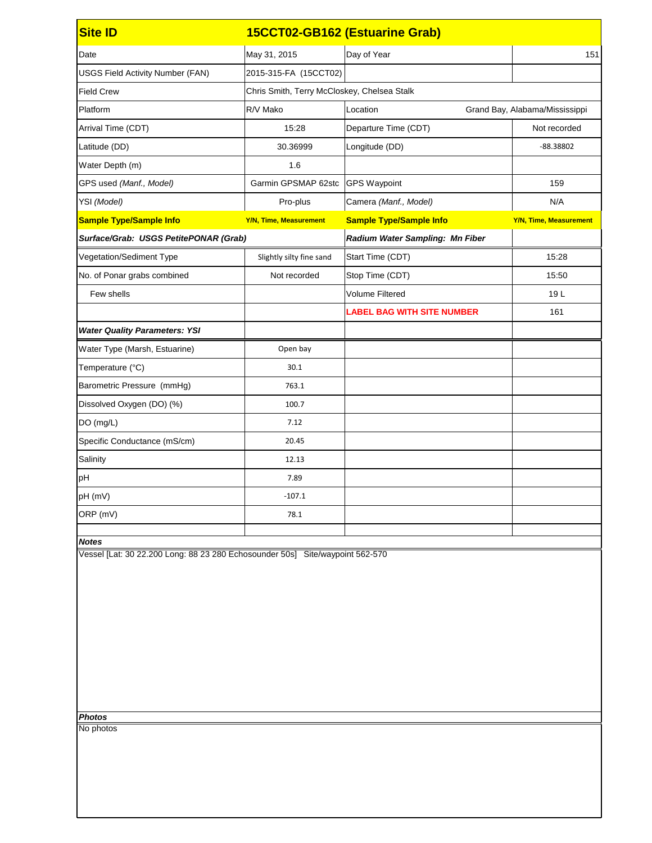| <b>Site ID</b>                                                                |                                             | 15CCT02-GB162 (Estuarine Grab)    |                                |  |
|-------------------------------------------------------------------------------|---------------------------------------------|-----------------------------------|--------------------------------|--|
| Date                                                                          | May 31, 2015                                | Day of Year                       | 151                            |  |
| <b>USGS Field Activity Number (FAN)</b>                                       | 2015-315-FA (15CCT02)                       |                                   |                                |  |
| <b>Field Crew</b>                                                             | Chris Smith, Terry McCloskey, Chelsea Stalk |                                   |                                |  |
| Platform                                                                      | R/V Mako                                    | Location                          | Grand Bay, Alabama/Mississippi |  |
| Arrival Time (CDT)                                                            | 15:28                                       | Departure Time (CDT)              | Not recorded                   |  |
| Latitude (DD)                                                                 | 30.36999                                    | Longitude (DD)                    | $-88.38802$                    |  |
| Water Depth (m)                                                               | 1.6                                         |                                   |                                |  |
| GPS used (Manf., Model)                                                       | Garmin GPSMAP 62stc                         | <b>GPS Waypoint</b>               | 159                            |  |
| YSI (Model)                                                                   | Pro-plus                                    | Camera (Manf., Model)             | N/A                            |  |
| <b>Sample Type/Sample Info</b>                                                | <b>Y/N, Time, Measurement</b>               | <b>Sample Type/Sample Info</b>    | <b>Y/N, Time, Measurement</b>  |  |
| Surface/Grab: USGS PetitePONAR (Grab)                                         |                                             | Radium Water Sampling: Mn Fiber   |                                |  |
| Vegetation/Sediment Type                                                      | Slightly silty fine sand                    | Start Time (CDT)                  | 15:28                          |  |
| No. of Ponar grabs combined                                                   | Not recorded                                | Stop Time (CDT)                   | 15:50                          |  |
| Few shells                                                                    |                                             | <b>Volume Filtered</b>            | 19L                            |  |
|                                                                               |                                             | <b>LABEL BAG WITH SITE NUMBER</b> | 161                            |  |
| <b>Water Quality Parameters: YSI</b>                                          |                                             |                                   |                                |  |
| Water Type (Marsh, Estuarine)                                                 | Open bay                                    |                                   |                                |  |
| Temperature (°C)                                                              | 30.1                                        |                                   |                                |  |
| Barometric Pressure (mmHg)                                                    | 763.1                                       |                                   |                                |  |
| Dissolved Oxygen (DO) (%)                                                     | 100.7                                       |                                   |                                |  |
| DO (mg/L)                                                                     | 7.12                                        |                                   |                                |  |
| Specific Conductance (mS/cm)                                                  | 20.45                                       |                                   |                                |  |
| Salinity                                                                      | 12.13                                       |                                   |                                |  |
| pH                                                                            | 7.89                                        |                                   |                                |  |
| pH (mV)                                                                       | $-107.1$                                    |                                   |                                |  |
| ORP (mV)                                                                      | 78.1                                        |                                   |                                |  |
| <b>Notes</b>                                                                  |                                             |                                   |                                |  |
| Vessel [Lat: 30 22.200 Long: 88 23 280 Echosounder 50s] Site/waypoint 562-570 |                                             |                                   |                                |  |
|                                                                               |                                             |                                   |                                |  |
|                                                                               |                                             |                                   |                                |  |
|                                                                               |                                             |                                   |                                |  |
| <b>Photos</b><br>No photos                                                    |                                             |                                   |                                |  |
|                                                                               |                                             |                                   |                                |  |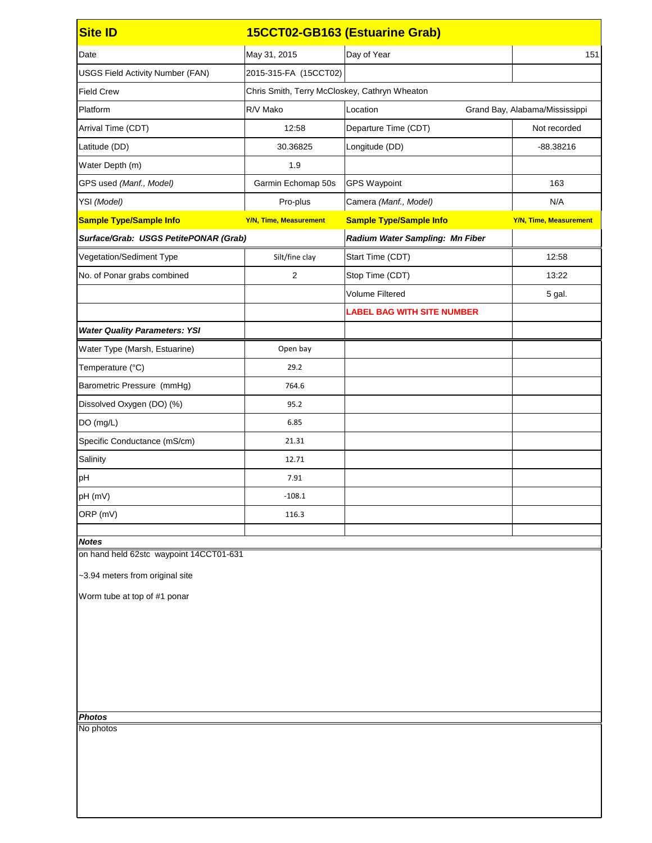| <b>Site ID</b>                          |                                               | 15CCT02-GB163 (Estuarine Grab)    |                                |
|-----------------------------------------|-----------------------------------------------|-----------------------------------|--------------------------------|
| Date                                    | May 31, 2015                                  | Day of Year                       | 151                            |
| <b>USGS Field Activity Number (FAN)</b> | 2015-315-FA (15CCT02)                         |                                   |                                |
| <b>Field Crew</b>                       | Chris Smith, Terry McCloskey, Cathryn Wheaton |                                   |                                |
| Platform                                | R/V Mako                                      | Location                          | Grand Bay, Alabama/Mississippi |
| Arrival Time (CDT)                      | 12:58                                         | Departure Time (CDT)              | Not recorded                   |
| Latitude (DD)                           | 30.36825                                      | Longitude (DD)                    | $-88.38216$                    |
| Water Depth (m)                         | 1.9                                           |                                   |                                |
| GPS used (Manf., Model)                 | Garmin Echomap 50s                            | <b>GPS Waypoint</b>               | 163                            |
| YSI (Model)                             | Pro-plus                                      | Camera (Manf., Model)             | N/A                            |
| <b>Sample Type/Sample Info</b>          | <b>Y/N, Time, Measurement</b>                 | <b>Sample Type/Sample Info</b>    | <b>Y/N, Time, Measurement</b>  |
| Surface/Grab: USGS PetitePONAR (Grab)   |                                               | Radium Water Sampling: Mn Fiber   |                                |
| Vegetation/Sediment Type                | Silt/fine clay                                | Start Time (CDT)                  | 12:58                          |
| No. of Ponar grabs combined             | $\overline{2}$                                | Stop Time (CDT)                   | 13:22                          |
|                                         |                                               | <b>Volume Filtered</b>            | 5 gal.                         |
|                                         |                                               | <b>LABEL BAG WITH SITE NUMBER</b> |                                |
| <b>Water Quality Parameters: YSI</b>    |                                               |                                   |                                |
| Water Type (Marsh, Estuarine)           | Open bay                                      |                                   |                                |
| Temperature (°C)                        | 29.2                                          |                                   |                                |
| Barometric Pressure (mmHg)              | 764.6                                         |                                   |                                |
| Dissolved Oxygen (DO) (%)               | 95.2                                          |                                   |                                |
| DO (mg/L)                               | 6.85                                          |                                   |                                |
| Specific Conductance (mS/cm)            | 21.31                                         |                                   |                                |
| Salinity                                | 12.71                                         |                                   |                                |
| pH                                      | 7.91                                          |                                   |                                |
| pH (mV)                                 | $-108.1$                                      |                                   |                                |
| ORP (mV)                                | 116.3                                         |                                   |                                |
| <b>Notes</b>                            |                                               |                                   |                                |
| on hand held 62stc waypoint 14CCT01-631 |                                               |                                   |                                |
| ~3.94 meters from original site         |                                               |                                   |                                |
| Worm tube at top of #1 ponar            |                                               |                                   |                                |
|                                         |                                               |                                   |                                |
|                                         |                                               |                                   |                                |
|                                         |                                               |                                   |                                |
|                                         |                                               |                                   |                                |
|                                         |                                               |                                   |                                |
|                                         |                                               |                                   |                                |
| <b>Photos</b>                           |                                               |                                   |                                |
| No photos                               |                                               |                                   |                                |
|                                         |                                               |                                   |                                |
|                                         |                                               |                                   |                                |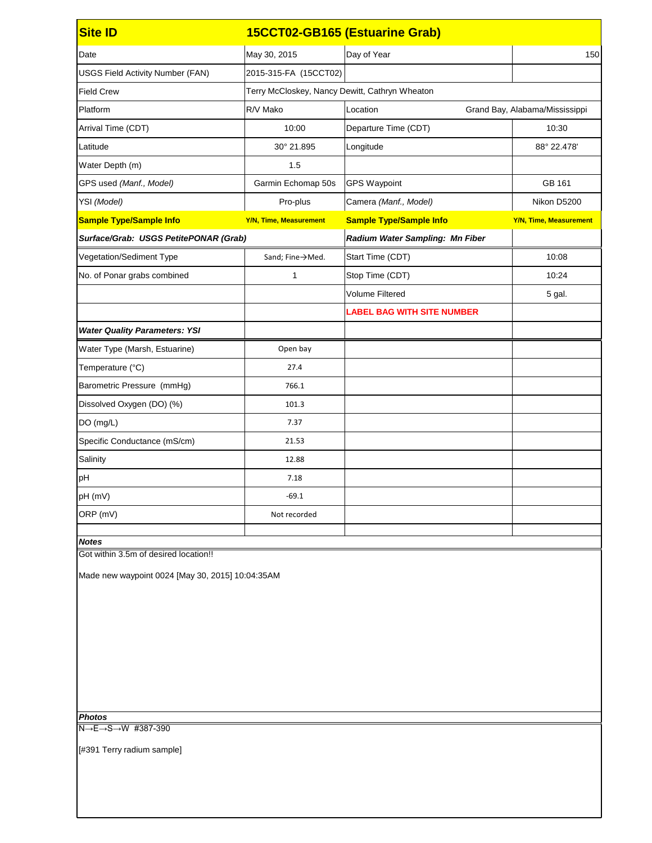| <b>Site ID</b>                                                               |                                                | 15CCT02-GB165 (Estuarine Grab)    |                                |
|------------------------------------------------------------------------------|------------------------------------------------|-----------------------------------|--------------------------------|
| Date                                                                         | May 30, 2015                                   | Day of Year                       | 150                            |
| <b>USGS Field Activity Number (FAN)</b>                                      | 2015-315-FA (15CCT02)                          |                                   |                                |
| <b>Field Crew</b>                                                            | Terry McCloskey, Nancy Dewitt, Cathryn Wheaton |                                   |                                |
| Platform                                                                     | R/V Mako                                       | Location                          | Grand Bay, Alabama/Mississippi |
| Arrival Time (CDT)                                                           | 10:00                                          | Departure Time (CDT)              | 10:30                          |
| Latitude                                                                     | 30° 21.895                                     | Longitude                         | 88° 22.478'                    |
| Water Depth (m)                                                              | 1.5                                            |                                   |                                |
| GPS used (Manf., Model)                                                      | Garmin Echomap 50s                             | <b>GPS Waypoint</b>               | GB 161                         |
| YSI (Model)                                                                  | Pro-plus                                       | Camera (Manf., Model)             | Nikon D5200                    |
| <b>Sample Type/Sample Info</b>                                               | <b>Y/N, Time, Measurement</b>                  | <b>Sample Type/Sample Info</b>    | <b>Y/N, Time, Measurement</b>  |
| Surface/Grab: USGS PetitePONAR (Grab)                                        |                                                | Radium Water Sampling: Mn Fiber   |                                |
| Vegetation/Sediment Type                                                     | Sand; Fine→Med.                                | Start Time (CDT)                  | 10:08                          |
| No. of Ponar grabs combined                                                  | 1                                              | Stop Time (CDT)                   | 10:24                          |
|                                                                              |                                                | <b>Volume Filtered</b>            | 5 gal.                         |
|                                                                              |                                                | <b>LABEL BAG WITH SITE NUMBER</b> |                                |
| <b>Water Quality Parameters: YSI</b>                                         |                                                |                                   |                                |
| Water Type (Marsh, Estuarine)                                                | Open bay                                       |                                   |                                |
| Temperature (°C)                                                             | 27.4                                           |                                   |                                |
| Barometric Pressure (mmHg)                                                   | 766.1                                          |                                   |                                |
| Dissolved Oxygen (DO) (%)                                                    | 101.3                                          |                                   |                                |
| DO (mg/L)                                                                    | 7.37                                           |                                   |                                |
| Specific Conductance (mS/cm)                                                 | 21.53                                          |                                   |                                |
| Salinity                                                                     | 12.88                                          |                                   |                                |
| pH                                                                           | 7.18                                           |                                   |                                |
| pH (mV)                                                                      | $-69.1$                                        |                                   |                                |
| ORP (mV)                                                                     | Not recorded                                   |                                   |                                |
|                                                                              |                                                |                                   |                                |
| <b>Notes</b><br>Got within 3.5m of desired location!!                        |                                                |                                   |                                |
| Made new waypoint 0024 [May 30, 2015] 10:04:35AM<br><b>Photos</b>            |                                                |                                   |                                |
| $\overline{\overline{N \rightarrow E \rightarrow} S \rightarrow W}$ #387-390 |                                                |                                   |                                |

[#391 Terry radium sample]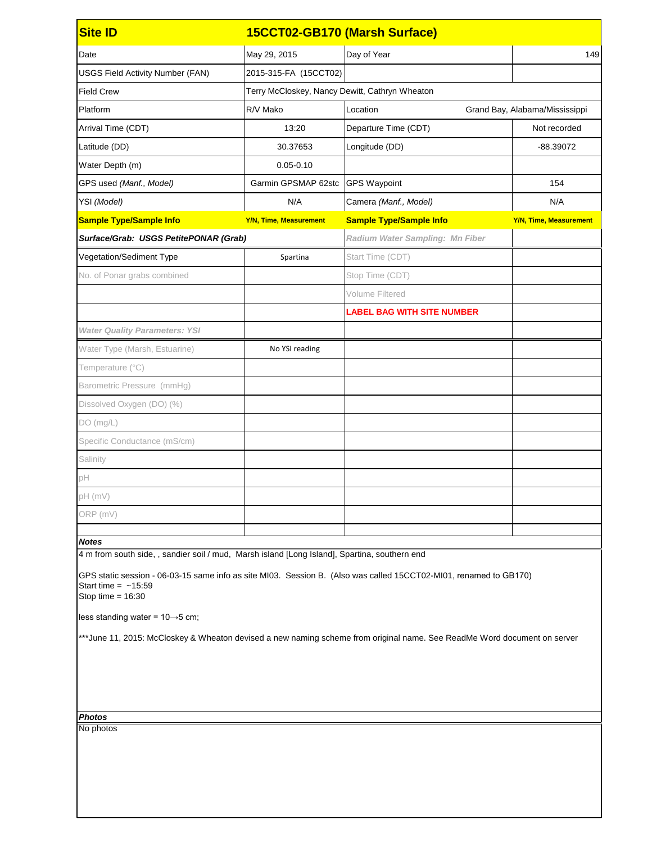| <b>Site ID</b>                                                                                                                                                                                                                                                                                                                                                 | 15CCT02-GB170 (Marsh Surface)                  |                                        |                                |  |
|----------------------------------------------------------------------------------------------------------------------------------------------------------------------------------------------------------------------------------------------------------------------------------------------------------------------------------------------------------------|------------------------------------------------|----------------------------------------|--------------------------------|--|
| Date                                                                                                                                                                                                                                                                                                                                                           | May 29, 2015                                   | Day of Year                            | 149                            |  |
| <b>USGS Field Activity Number (FAN)</b>                                                                                                                                                                                                                                                                                                                        | 2015-315-FA (15CCT02)                          |                                        |                                |  |
| <b>Field Crew</b>                                                                                                                                                                                                                                                                                                                                              | Terry McCloskey, Nancy Dewitt, Cathryn Wheaton |                                        |                                |  |
| Platform                                                                                                                                                                                                                                                                                                                                                       | R/V Mako                                       | Location                               | Grand Bay, Alabama/Mississippi |  |
| Arrival Time (CDT)                                                                                                                                                                                                                                                                                                                                             | 13:20                                          | Departure Time (CDT)                   | Not recorded                   |  |
| Latitude (DD)                                                                                                                                                                                                                                                                                                                                                  | 30.37653                                       | Longitude (DD)                         | -88.39072                      |  |
| Water Depth (m)                                                                                                                                                                                                                                                                                                                                                | $0.05 - 0.10$                                  |                                        |                                |  |
| GPS used (Manf., Model)                                                                                                                                                                                                                                                                                                                                        | Garmin GPSMAP 62stc                            | <b>GPS Waypoint</b>                    | 154                            |  |
| YSI (Model)                                                                                                                                                                                                                                                                                                                                                    | N/A                                            | Camera (Manf., Model)                  | N/A                            |  |
| <b>Sample Type/Sample Info</b>                                                                                                                                                                                                                                                                                                                                 | <b>Y/N, Time, Measurement</b>                  | <b>Sample Type/Sample Info</b>         | <b>Y/N, Time, Measurement</b>  |  |
| Surface/Grab: USGS PetitePONAR (Grab)                                                                                                                                                                                                                                                                                                                          |                                                | <b>Radium Water Sampling: Mn Fiber</b> |                                |  |
| Vegetation/Sediment Type                                                                                                                                                                                                                                                                                                                                       | Spartina                                       | Start Time (CDT)                       |                                |  |
| No. of Ponar grabs combined                                                                                                                                                                                                                                                                                                                                    |                                                | Stop Time (CDT)                        |                                |  |
|                                                                                                                                                                                                                                                                                                                                                                |                                                | Volume Filtered                        |                                |  |
|                                                                                                                                                                                                                                                                                                                                                                |                                                | <b>LABEL BAG WITH SITE NUMBER</b>      |                                |  |
| <b>Water Quality Parameters: YSI</b>                                                                                                                                                                                                                                                                                                                           |                                                |                                        |                                |  |
| Water Type (Marsh, Estuarine)                                                                                                                                                                                                                                                                                                                                  | No YSI reading                                 |                                        |                                |  |
| Temperature (°C)                                                                                                                                                                                                                                                                                                                                               |                                                |                                        |                                |  |
| Barometric Pressure (mmHg)                                                                                                                                                                                                                                                                                                                                     |                                                |                                        |                                |  |
| Dissolved Oxygen (DO) (%)                                                                                                                                                                                                                                                                                                                                      |                                                |                                        |                                |  |
| DO(mg/L)                                                                                                                                                                                                                                                                                                                                                       |                                                |                                        |                                |  |
| Specific Conductance (mS/cm)                                                                                                                                                                                                                                                                                                                                   |                                                |                                        |                                |  |
| Salinity                                                                                                                                                                                                                                                                                                                                                       |                                                |                                        |                                |  |
| pH                                                                                                                                                                                                                                                                                                                                                             |                                                |                                        |                                |  |
| $pH$ (mV)                                                                                                                                                                                                                                                                                                                                                      |                                                |                                        |                                |  |
| ORP (mV)                                                                                                                                                                                                                                                                                                                                                       |                                                |                                        |                                |  |
|                                                                                                                                                                                                                                                                                                                                                                |                                                |                                        |                                |  |
| <b>Notes</b><br>4 m from south side, , sandier soil / mud, Marsh island [Long Island], Spartina, southern end                                                                                                                                                                                                                                                  |                                                |                                        |                                |  |
| GPS static session - 06-03-15 same info as site MI03. Session B. (Also was called 15CCT02-MI01, renamed to GB170)<br>Start time = $~15:59$<br>Stop time = $16:30$<br>less standing water = $10 \rightarrow 5$ cm;<br>***June 11, 2015: McCloskey & Wheaton devised a new naming scheme from original name. See ReadMe Word document on server<br><b>Photos</b> |                                                |                                        |                                |  |
| No photos                                                                                                                                                                                                                                                                                                                                                      |                                                |                                        |                                |  |
|                                                                                                                                                                                                                                                                                                                                                                |                                                |                                        |                                |  |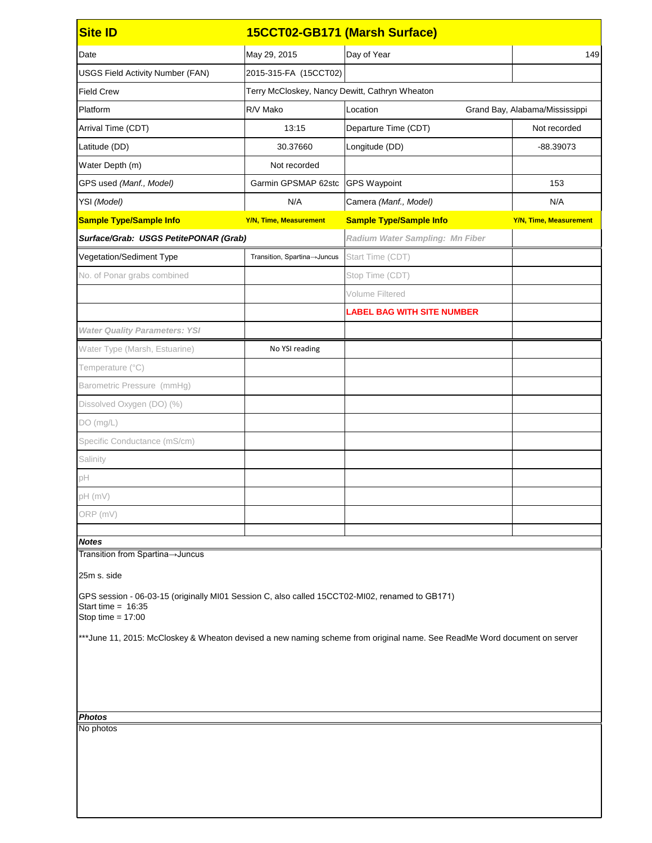| <b>Site ID</b>                                                                                                                                                                                                                                                            |                               | 15CCT02-GB171 (Marsh Surface)                  |                                |  |  |
|---------------------------------------------------------------------------------------------------------------------------------------------------------------------------------------------------------------------------------------------------------------------------|-------------------------------|------------------------------------------------|--------------------------------|--|--|
| Date                                                                                                                                                                                                                                                                      | May 29, 2015                  | Day of Year                                    | 149                            |  |  |
| <b>USGS Field Activity Number (FAN)</b>                                                                                                                                                                                                                                   | 2015-315-FA (15CCT02)         |                                                |                                |  |  |
| <b>Field Crew</b>                                                                                                                                                                                                                                                         |                               | Terry McCloskey, Nancy Dewitt, Cathryn Wheaton |                                |  |  |
| Platform                                                                                                                                                                                                                                                                  | R/V Mako                      | Location                                       | Grand Bay, Alabama/Mississippi |  |  |
| Arrival Time (CDT)                                                                                                                                                                                                                                                        | 13:15                         | Departure Time (CDT)                           | Not recorded                   |  |  |
| Latitude (DD)                                                                                                                                                                                                                                                             | 30.37660                      | Longitude (DD)                                 | $-88.39073$                    |  |  |
| Water Depth (m)                                                                                                                                                                                                                                                           | Not recorded                  |                                                |                                |  |  |
| GPS used (Manf., Model)                                                                                                                                                                                                                                                   | Garmin GPSMAP 62stc           | <b>GPS Waypoint</b>                            | 153                            |  |  |
| YSI (Model)                                                                                                                                                                                                                                                               | N/A                           | Camera (Manf., Model)                          | N/A                            |  |  |
| <b>Sample Type/Sample Info</b>                                                                                                                                                                                                                                            | <b>Y/N, Time, Measurement</b> | <b>Sample Type/Sample Info</b>                 | <b>Y/N, Time, Measurement</b>  |  |  |
| Surface/Grab: USGS PetitePONAR (Grab)                                                                                                                                                                                                                                     |                               | <b>Radium Water Sampling: Mn Fiber</b>         |                                |  |  |
| Vegetation/Sediment Type                                                                                                                                                                                                                                                  | Transition, Spartina→Juncus   | Start Time (CDT)                               |                                |  |  |
| No. of Ponar grabs combined                                                                                                                                                                                                                                               |                               | Stop Time (CDT)                                |                                |  |  |
|                                                                                                                                                                                                                                                                           |                               | <b>Volume Filtered</b>                         |                                |  |  |
|                                                                                                                                                                                                                                                                           |                               | <b>LABEL BAG WITH SITE NUMBER</b>              |                                |  |  |
| <b>Water Quality Parameters: YSI</b>                                                                                                                                                                                                                                      |                               |                                                |                                |  |  |
| Water Type (Marsh, Estuarine)                                                                                                                                                                                                                                             | No YSI reading                |                                                |                                |  |  |
| Temperature (°C)                                                                                                                                                                                                                                                          |                               |                                                |                                |  |  |
| Barometric Pressure (mmHg)                                                                                                                                                                                                                                                |                               |                                                |                                |  |  |
| Dissolved Oxygen (DO) (%)                                                                                                                                                                                                                                                 |                               |                                                |                                |  |  |
| DO(mg/L)                                                                                                                                                                                                                                                                  |                               |                                                |                                |  |  |
| Specific Conductance (mS/cm)                                                                                                                                                                                                                                              |                               |                                                |                                |  |  |
| Salinity                                                                                                                                                                                                                                                                  |                               |                                                |                                |  |  |
| pH                                                                                                                                                                                                                                                                        |                               |                                                |                                |  |  |
| $pH$ (mV)                                                                                                                                                                                                                                                                 |                               |                                                |                                |  |  |
| ORP (mV)                                                                                                                                                                                                                                                                  |                               |                                                |                                |  |  |
|                                                                                                                                                                                                                                                                           |                               |                                                |                                |  |  |
| <b>Notes</b><br>Transition from Spartina→Juncus                                                                                                                                                                                                                           |                               |                                                |                                |  |  |
| 25m s. side                                                                                                                                                                                                                                                               |                               |                                                |                                |  |  |
| GPS session - 06-03-15 (originally MI01 Session C, also called 15CCT02-MI02, renamed to GB171)<br>Start time = $16:35$<br>Stop time $= 17:00$<br>***June 11, 2015: McCloskey & Wheaton devised a new naming scheme from original name. See ReadMe Word document on server |                               |                                                |                                |  |  |
|                                                                                                                                                                                                                                                                           |                               |                                                |                                |  |  |
| <b>Photos</b>                                                                                                                                                                                                                                                             |                               |                                                |                                |  |  |
| No photos                                                                                                                                                                                                                                                                 |                               |                                                |                                |  |  |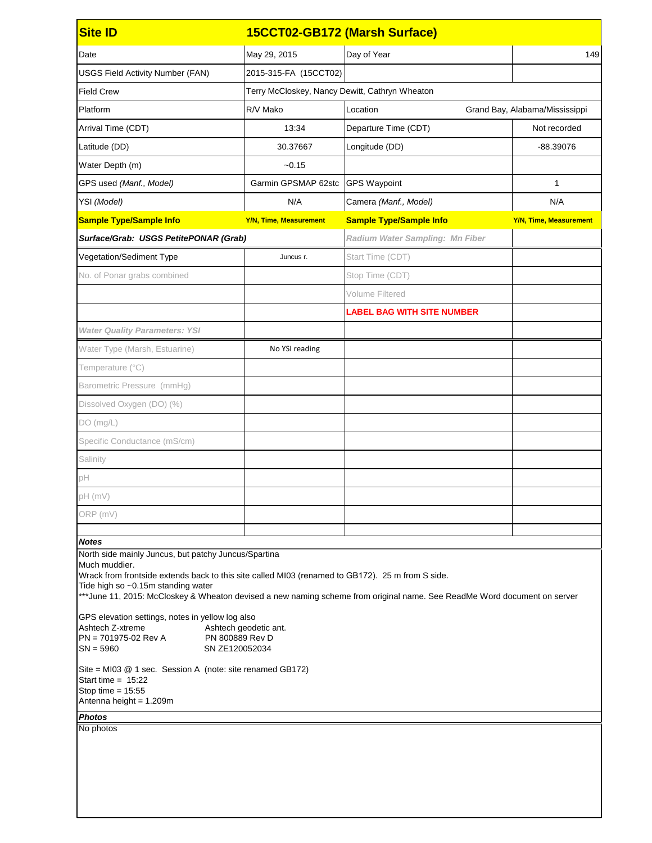| <b>Site ID</b>                                                                                                                                                                                                                                                                                                                                                                                                                                                                                                                                                                                                                                                                                   | 15CCT02-GB172 (Marsh Surface)                  |                                        |                                |  |
|--------------------------------------------------------------------------------------------------------------------------------------------------------------------------------------------------------------------------------------------------------------------------------------------------------------------------------------------------------------------------------------------------------------------------------------------------------------------------------------------------------------------------------------------------------------------------------------------------------------------------------------------------------------------------------------------------|------------------------------------------------|----------------------------------------|--------------------------------|--|
| Date                                                                                                                                                                                                                                                                                                                                                                                                                                                                                                                                                                                                                                                                                             | May 29, 2015                                   | Day of Year                            | 149                            |  |
| <b>USGS Field Activity Number (FAN)</b>                                                                                                                                                                                                                                                                                                                                                                                                                                                                                                                                                                                                                                                          | 2015-315-FA (15CCT02)                          |                                        |                                |  |
| <b>Field Crew</b>                                                                                                                                                                                                                                                                                                                                                                                                                                                                                                                                                                                                                                                                                | Terry McCloskey, Nancy Dewitt, Cathryn Wheaton |                                        |                                |  |
| Platform                                                                                                                                                                                                                                                                                                                                                                                                                                                                                                                                                                                                                                                                                         | R/V Mako                                       | Location                               | Grand Bay, Alabama/Mississippi |  |
| Arrival Time (CDT)                                                                                                                                                                                                                                                                                                                                                                                                                                                                                                                                                                                                                                                                               | 13:34                                          | Departure Time (CDT)                   | Not recorded                   |  |
| Latitude (DD)                                                                                                                                                                                                                                                                                                                                                                                                                                                                                                                                                                                                                                                                                    | 30.37667                                       | Longitude (DD)                         | -88.39076                      |  |
| Water Depth (m)                                                                                                                                                                                                                                                                                                                                                                                                                                                                                                                                                                                                                                                                                  | $-0.15$                                        |                                        |                                |  |
| GPS used (Manf., Model)                                                                                                                                                                                                                                                                                                                                                                                                                                                                                                                                                                                                                                                                          | Garmin GPSMAP 62stc                            | <b>GPS Waypoint</b>                    | 1                              |  |
| YSI (Model)                                                                                                                                                                                                                                                                                                                                                                                                                                                                                                                                                                                                                                                                                      | N/A                                            | Camera (Manf., Model)                  | N/A                            |  |
| <b>Sample Type/Sample Info</b>                                                                                                                                                                                                                                                                                                                                                                                                                                                                                                                                                                                                                                                                   | <b>Y/N, Time, Measurement</b>                  | <b>Sample Type/Sample Info</b>         | <b>Y/N, Time, Measurement</b>  |  |
| Surface/Grab: USGS PetitePONAR (Grab)                                                                                                                                                                                                                                                                                                                                                                                                                                                                                                                                                                                                                                                            |                                                | <b>Radium Water Sampling: Mn Fiber</b> |                                |  |
| Vegetation/Sediment Type                                                                                                                                                                                                                                                                                                                                                                                                                                                                                                                                                                                                                                                                         | Juncus r.                                      | Start Time (CDT)                       |                                |  |
| No. of Ponar grabs combined                                                                                                                                                                                                                                                                                                                                                                                                                                                                                                                                                                                                                                                                      |                                                | Stop Time (CDT)                        |                                |  |
|                                                                                                                                                                                                                                                                                                                                                                                                                                                                                                                                                                                                                                                                                                  |                                                | Volume Filtered                        |                                |  |
|                                                                                                                                                                                                                                                                                                                                                                                                                                                                                                                                                                                                                                                                                                  |                                                | <b>LABEL BAG WITH SITE NUMBER</b>      |                                |  |
| <b>Water Quality Parameters: YSI</b>                                                                                                                                                                                                                                                                                                                                                                                                                                                                                                                                                                                                                                                             |                                                |                                        |                                |  |
| Water Type (Marsh, Estuarine)                                                                                                                                                                                                                                                                                                                                                                                                                                                                                                                                                                                                                                                                    | No YSI reading                                 |                                        |                                |  |
| Temperature (°C)                                                                                                                                                                                                                                                                                                                                                                                                                                                                                                                                                                                                                                                                                 |                                                |                                        |                                |  |
| Barometric Pressure (mmHg)                                                                                                                                                                                                                                                                                                                                                                                                                                                                                                                                                                                                                                                                       |                                                |                                        |                                |  |
| Dissolved Oxygen (DO) (%)                                                                                                                                                                                                                                                                                                                                                                                                                                                                                                                                                                                                                                                                        |                                                |                                        |                                |  |
| DO(mg/L)                                                                                                                                                                                                                                                                                                                                                                                                                                                                                                                                                                                                                                                                                         |                                                |                                        |                                |  |
| Specific Conductance (mS/cm)                                                                                                                                                                                                                                                                                                                                                                                                                                                                                                                                                                                                                                                                     |                                                |                                        |                                |  |
| Salinity                                                                                                                                                                                                                                                                                                                                                                                                                                                                                                                                                                                                                                                                                         |                                                |                                        |                                |  |
| pH                                                                                                                                                                                                                                                                                                                                                                                                                                                                                                                                                                                                                                                                                               |                                                |                                        |                                |  |
| pH (mV)                                                                                                                                                                                                                                                                                                                                                                                                                                                                                                                                                                                                                                                                                          |                                                |                                        |                                |  |
| ORP (mV)                                                                                                                                                                                                                                                                                                                                                                                                                                                                                                                                                                                                                                                                                         |                                                |                                        |                                |  |
| <b>Notes</b>                                                                                                                                                                                                                                                                                                                                                                                                                                                                                                                                                                                                                                                                                     |                                                |                                        |                                |  |
| North side mainly Juncus, but patchy Juncus/Spartina<br>Much muddier.<br>Wrack from frontside extends back to this site called MI03 (renamed to GB172). 25 m from S side.<br>Tide high so ~0.15m standing water<br>*** June 11, 2015: McCloskey & Wheaton devised a new naming scheme from original name. See ReadMe Word document on server<br>GPS elevation settings, notes in yellow log also<br>Ashtech Z-xtreme<br>Ashtech geodetic ant.<br>$PN = 701975-02$ Rev A<br>PN 800889 Rev D<br>SN ZE120052034<br>$SN = 5960$<br>Site = MI03 @ 1 sec. Session A (note: site renamed GB172)<br>Start time = $15:22$<br>Stop time = $15:55$<br>Antenna height = 1.209m<br><b>Photos</b><br>No photos |                                                |                                        |                                |  |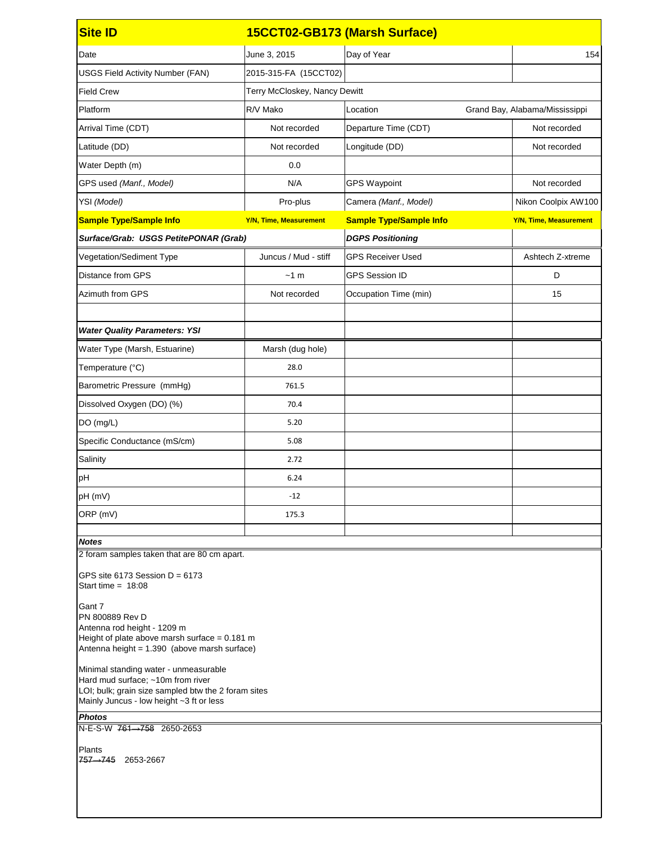| <b>Site ID</b>                                                                                                                       | 15CCT02-GB173 (Marsh Surface) |                                |                                |  |
|--------------------------------------------------------------------------------------------------------------------------------------|-------------------------------|--------------------------------|--------------------------------|--|
| Date                                                                                                                                 | June 3, 2015                  | Day of Year                    | 154                            |  |
| <b>USGS Field Activity Number (FAN)</b>                                                                                              | 2015-315-FA (15CCT02)         |                                |                                |  |
| <b>Field Crew</b>                                                                                                                    | Terry McCloskey, Nancy Dewitt |                                |                                |  |
| Platform                                                                                                                             | R/V Mako                      | Location                       | Grand Bay, Alabama/Mississippi |  |
| Arrival Time (CDT)                                                                                                                   | Not recorded                  | Departure Time (CDT)           | Not recorded                   |  |
| Latitude (DD)                                                                                                                        | Not recorded                  | Longitude (DD)                 | Not recorded                   |  |
| Water Depth (m)                                                                                                                      | 0.0                           |                                |                                |  |
| GPS used (Manf., Model)                                                                                                              | N/A                           | <b>GPS Waypoint</b>            | Not recorded                   |  |
| YSI (Model)                                                                                                                          | Pro-plus                      | Camera (Manf., Model)          | Nikon Coolpix AW100            |  |
| <b>Sample Type/Sample Info</b>                                                                                                       | <b>Y/N, Time, Measurement</b> | <b>Sample Type/Sample Info</b> | <b>Y/N, Time, Measurement</b>  |  |
| Surface/Grab: USGS PetitePONAR (Grab)                                                                                                |                               | <b>DGPS Positioning</b>        |                                |  |
| Vegetation/Sediment Type                                                                                                             | Juncus / Mud - stiff          | <b>GPS Receiver Used</b>       | Ashtech Z-xtreme               |  |
| <b>Distance from GPS</b>                                                                                                             | ~1~m                          | <b>GPS Session ID</b>          | D                              |  |
| Azimuth from GPS                                                                                                                     | Not recorded                  | Occupation Time (min)          | 15                             |  |
|                                                                                                                                      |                               |                                |                                |  |
| <b>Water Quality Parameters: YSI</b>                                                                                                 |                               |                                |                                |  |
| Water Type (Marsh, Estuarine)                                                                                                        | Marsh (dug hole)              |                                |                                |  |
| Temperature (°C)                                                                                                                     | 28.0                          |                                |                                |  |
| Barometric Pressure (mmHg)                                                                                                           | 761.5                         |                                |                                |  |
| Dissolved Oxygen (DO) (%)                                                                                                            | 70.4                          |                                |                                |  |
| DO (mg/L)                                                                                                                            | 5.20                          |                                |                                |  |
| Specific Conductance (mS/cm)                                                                                                         | 5.08                          |                                |                                |  |
| Salinity                                                                                                                             | 2.72                          |                                |                                |  |
| pH                                                                                                                                   | 6.24                          |                                |                                |  |
| pH (mV)                                                                                                                              | $-12$                         |                                |                                |  |
| ORP (mV)                                                                                                                             | 175.3                         |                                |                                |  |
| <b>Notes</b>                                                                                                                         |                               |                                |                                |  |
| 2 foram samples taken that are 80 cm apart.                                                                                          |                               |                                |                                |  |
| GPS site 6173 Session $D = 6173$<br>Start time = $18:08$                                                                             |                               |                                |                                |  |
| Gant 7<br>PN 800889 Rev D<br>Antenna rod height - 1209 m<br>Height of plate above marsh surface = $0.181$ m                          |                               |                                |                                |  |
| Antenna height = 1.390 (above marsh surface)<br>Minimal standing water - unmeasurable                                                |                               |                                |                                |  |
| Hard mud surface; ~10m from river<br>LOI; bulk; grain size sampled btw the 2 foram sites<br>Mainly Juncus - low height ~3 ft or less |                               |                                |                                |  |
| <b>Photos</b>                                                                                                                        |                               |                                |                                |  |
| N-E-S-W 761 -> 758 2650-2653                                                                                                         |                               |                                |                                |  |
| Plants<br>757 - 745 2653-2667                                                                                                        |                               |                                |                                |  |
|                                                                                                                                      |                               |                                |                                |  |